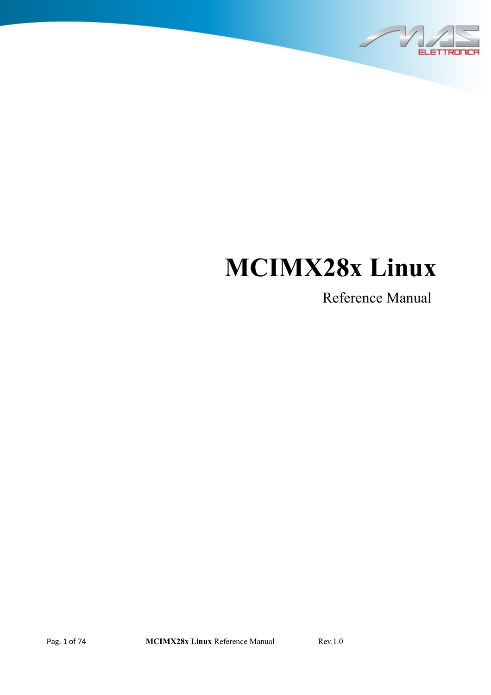

# **MCIMX28x Linux**

Reference Manual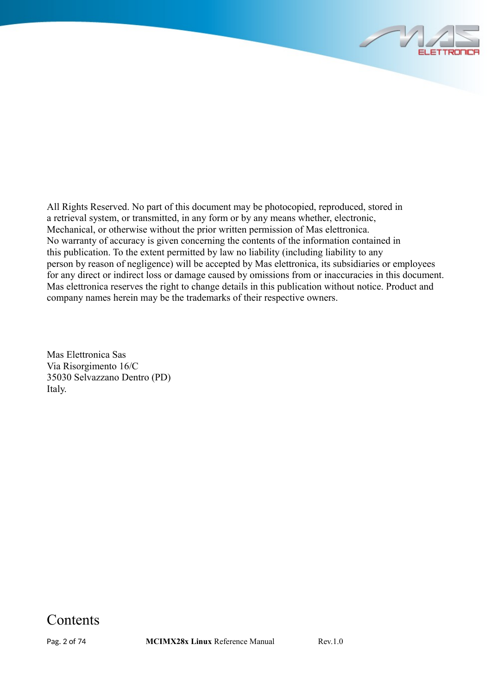

All Rights Reserved. No part of this document may be photocopied, reproduced, stored in a retrieval system, or transmitted, in any form or by any means whether, electronic, Mechanical, or otherwise without the prior written permission of Mas elettronica. No warranty of accuracy is given concerning the contents of the information contained in this publication. To the extent permitted by law no liability (including liability to any person by reason of negligence) will be accepted by Mas elettronica, its subsidiaries or employees for any direct or indirect loss or damage caused by omissions from or inaccuracies in this document. Mas elettronica reserves the right to change details in this publication without notice. Product and company names herein may be the trademarks of their respective owners.

Mas Elettronica Sas Via Risorgimento 16/C 35030 Selvazzano Dentro (PD) Italy.

## **Contents**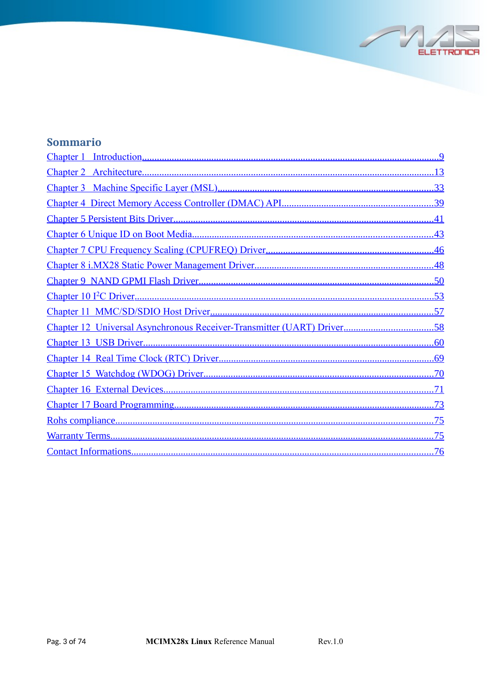

#### **Sommario**

| Chapter 12 Universal Asynchronous Receiver-Transmitter (UART) Driver58 |  |
|------------------------------------------------------------------------|--|
|                                                                        |  |
|                                                                        |  |
|                                                                        |  |
|                                                                        |  |
|                                                                        |  |
|                                                                        |  |
|                                                                        |  |
|                                                                        |  |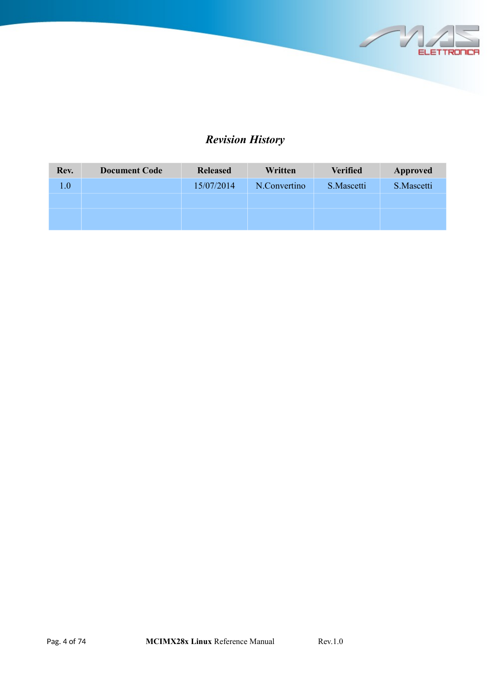

## *Revision History*

| Rev.        | <b>Document Code</b> | <b>Released</b> | Written      | <b>Verified</b> | Approved   |
|-------------|----------------------|-----------------|--------------|-----------------|------------|
| $4.0^\circ$ |                      | 15/07/2014      | N.Convertino | S.Mascetti      | S.Mascetti |
|             |                      |                 |              |                 |            |
|             |                      |                 |              |                 |            |
|             |                      |                 |              |                 |            |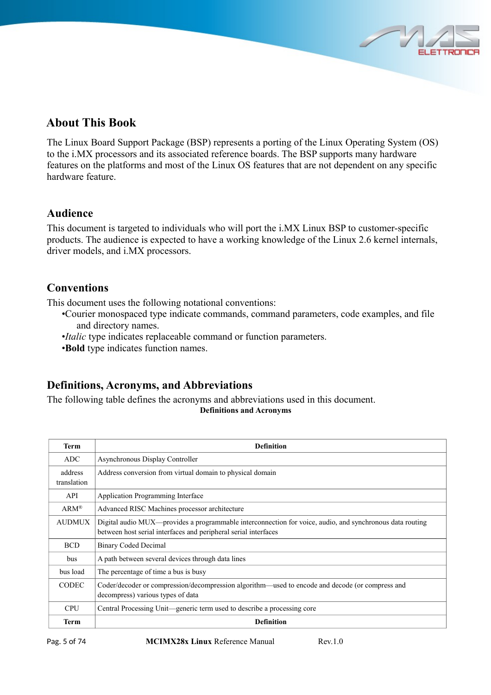

#### **About This Book**

The Linux Board Support Package (BSP) represents a porting of the Linux Operating System (OS) to the i.MX processors and its associated reference boards. The BSP supports many hardware features on the platforms and most of the Linux OS features that are not dependent on any specific hardware feature.

#### **Audience**

This document is targeted to individuals who will port the i.MX Linux BSP to customer-specific products. The audience is expected to have a working knowledge of the Linux 2.6 kernel internals, driver models, and i.MX processors.

#### **Conventions**

This document uses the following notational conventions:

- •Courier monospaced type indicate commands, command parameters, code examples, and file and directory names.
- •*Italic* type indicates replaceable command or function parameters.
- •**Bold** type indicates function names.

#### **Definitions, Acronyms, and Abbreviations**

The following table defines the acronyms and abbreviations used in this document. **Definitions and Acronyms**

| <b>Term</b>            | <b>Definition</b>                                                                                                                                                           |
|------------------------|-----------------------------------------------------------------------------------------------------------------------------------------------------------------------------|
| ADC.                   | Asynchronous Display Controller                                                                                                                                             |
| address<br>translation | Address conversion from virtual domain to physical domain                                                                                                                   |
| API                    | Application Programming Interface                                                                                                                                           |
| $ARM^{\otimes}$        | Advanced RISC Machines processor architecture                                                                                                                               |
| <b>AUDMUX</b>          | Digital audio MUX—provides a programmable interconnection for voice, audio, and synchronous data routing<br>between host serial interfaces and peripheral serial interfaces |
| <b>BCD</b>             | <b>Binary Coded Decimal</b>                                                                                                                                                 |
| bus                    | A path between several devices through data lines                                                                                                                           |
| bus load               | The percentage of time a bus is busy                                                                                                                                        |
| <b>CODEC</b>           | Coder/decoder or compression/decompression algorithm—used to encode and decode (or compress and<br>decompress) various types of data                                        |
| <b>CPU</b>             | Central Processing Unit—generic term used to describe a processing core                                                                                                     |
| Term                   | <b>Definition</b>                                                                                                                                                           |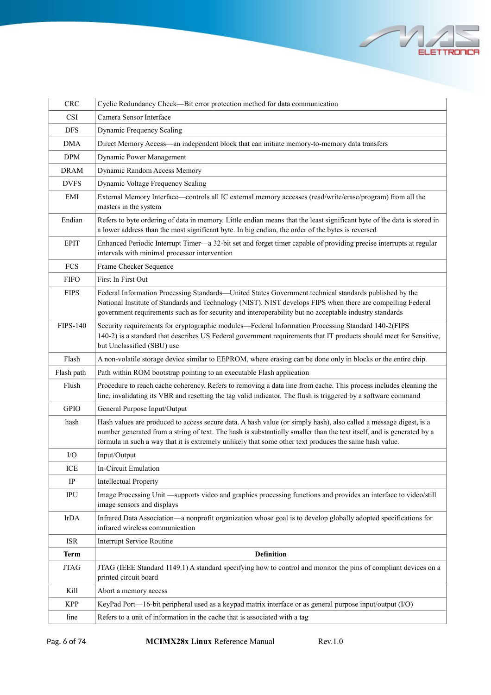

| <b>CRC</b>      | Cyclic Redundancy Check-Bit error protection method for data communication                                                                                                                                                                                                                                                                           |
|-----------------|------------------------------------------------------------------------------------------------------------------------------------------------------------------------------------------------------------------------------------------------------------------------------------------------------------------------------------------------------|
| <b>CSI</b>      | Camera Sensor Interface                                                                                                                                                                                                                                                                                                                              |
| <b>DFS</b>      | Dynamic Frequency Scaling                                                                                                                                                                                                                                                                                                                            |
| <b>DMA</b>      | Direct Memory Access—an independent block that can initiate memory-to-memory data transfers                                                                                                                                                                                                                                                          |
| <b>DPM</b>      | Dynamic Power Management                                                                                                                                                                                                                                                                                                                             |
| <b>DRAM</b>     | Dynamic Random Access Memory                                                                                                                                                                                                                                                                                                                         |
| <b>DVFS</b>     | Dynamic Voltage Frequency Scaling                                                                                                                                                                                                                                                                                                                    |
| EMI             | External Memory Interface—controls all IC external memory accesses (read/write/erase/program) from all the<br>masters in the system                                                                                                                                                                                                                  |
| Endian          | Refers to byte ordering of data in memory. Little endian means that the least significant byte of the data is stored in<br>a lower address than the most significant byte. In big endian, the order of the bytes is reversed                                                                                                                         |
| <b>EPIT</b>     | Enhanced Periodic Interrupt Timer—a 32-bit set and forget timer capable of providing precise interrupts at regular<br>intervals with minimal processor intervention                                                                                                                                                                                  |
| FCS             | Frame Checker Sequence                                                                                                                                                                                                                                                                                                                               |
| <b>FIFO</b>     | First In First Out                                                                                                                                                                                                                                                                                                                                   |
| <b>FIPS</b>     | Federal Information Processing Standards—United States Government technical standards published by the<br>National Institute of Standards and Technology (NIST). NIST develops FIPS when there are compelling Federal<br>government requirements such as for security and interoperability but no acceptable industry standards                      |
| <b>FIPS-140</b> | Security requirements for cryptographic modules—Federal Information Processing Standard 140-2(FIPS<br>140-2) is a standard that describes US Federal government requirements that IT products should meet for Sensitive,<br>but Unclassified (SBU) use                                                                                               |
| Flash           | A non-volatile storage device similar to EEPROM, where erasing can be done only in blocks or the entire chip.                                                                                                                                                                                                                                        |
| Flash path      | Path within ROM bootstrap pointing to an executable Flash application                                                                                                                                                                                                                                                                                |
| Flush           | Procedure to reach cache coherency. Refers to removing a data line from cache. This process includes cleaning the<br>line, invalidating its VBR and resetting the tag valid indicator. The flush is triggered by a software command                                                                                                                  |
| <b>GPIO</b>     | General Purpose Input/Output                                                                                                                                                                                                                                                                                                                         |
| hash            | Hash values are produced to access secure data. A hash value (or simply hash), also called a message digest, is a<br>number generated from a string of text. The hash is substantially smaller than the text itself, and is generated by a<br>formula in such a way that it is extremely unlikely that some other text produces the same hash value. |
| I/O             | Input/Output                                                                                                                                                                                                                                                                                                                                         |
| ICE             | In-Circuit Emulation                                                                                                                                                                                                                                                                                                                                 |
| $_{\rm IP}$     | <b>Intellectual Property</b>                                                                                                                                                                                                                                                                                                                         |
| IPU             | Image Processing Unit —supports video and graphics processing functions and provides an interface to video/still<br>image sensors and displays                                                                                                                                                                                                       |
| $\mbox{IrDA}$   | Infrared Data Association—a nonprofit organization whose goal is to develop globally adopted specifications for<br>infrared wireless communication                                                                                                                                                                                                   |
| <b>ISR</b>      | Interrupt Service Routine                                                                                                                                                                                                                                                                                                                            |
| <b>Term</b>     | <b>Definition</b>                                                                                                                                                                                                                                                                                                                                    |
| <b>JTAG</b>     | JTAG (IEEE Standard 1149.1) A standard specifying how to control and monitor the pins of compliant devices on a<br>printed circuit board                                                                                                                                                                                                             |
| Kill            | Abort a memory access                                                                                                                                                                                                                                                                                                                                |
| <b>KPP</b>      | KeyPad Port—16-bit peripheral used as a keypad matrix interface or as general purpose input/output (I/O)                                                                                                                                                                                                                                             |
| line            | Refers to a unit of information in the cache that is associated with a tag                                                                                                                                                                                                                                                                           |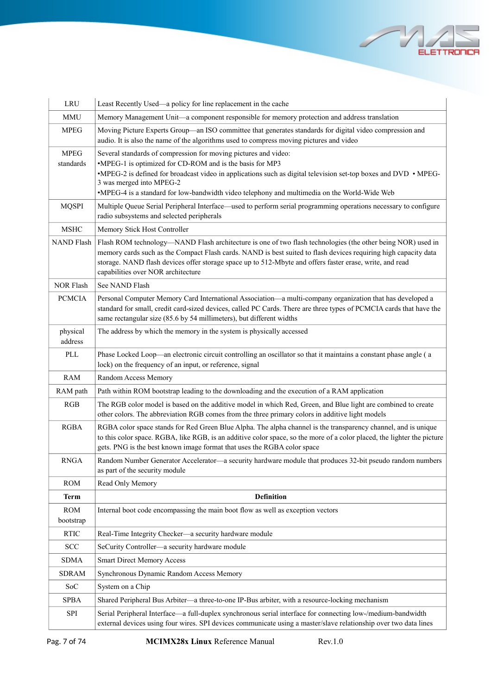

| <b>LRU</b>               | Least Recently Used—a policy for line replacement in the cache                                                                                                                                                                                                                                                                                                                          |
|--------------------------|-----------------------------------------------------------------------------------------------------------------------------------------------------------------------------------------------------------------------------------------------------------------------------------------------------------------------------------------------------------------------------------------|
| <b>MMU</b>               | Memory Management Unit—a component responsible for memory protection and address translation                                                                                                                                                                                                                                                                                            |
| <b>MPEG</b>              | Moving Picture Experts Group—an ISO committee that generates standards for digital video compression and<br>audio. It is also the name of the algorithms used to compress moving pictures and video                                                                                                                                                                                     |
| <b>MPEG</b><br>standards | Several standards of compression for moving pictures and video:<br>•MPEG-1 is optimized for CD-ROM and is the basis for MP3<br>$\cdot$ MPEG-2 is defined for broadcast video in applications such as digital television set-top boxes and DVD $\cdot$ MPEG-<br>3 was merged into MPEG-2<br>•MPEG-4 is a standard for low-bandwidth video telephony and multimedia on the World-Wide Web |
| <b>MQSPI</b>             | Multiple Queue Serial Peripheral Interface—used to perform serial programming operations necessary to configure<br>radio subsystems and selected peripherals                                                                                                                                                                                                                            |
| <b>MSHC</b>              | Memory Stick Host Controller                                                                                                                                                                                                                                                                                                                                                            |
| <b>NAND Flash</b>        | Flash ROM technology—NAND Flash architecture is one of two flash technologies (the other being NOR) used in<br>memory cards such as the Compact Flash cards. NAND is best suited to flash devices requiring high capacity data<br>storage. NAND flash devices offer storage space up to 512-Mbyte and offers faster erase, write, and read<br>capabilities over NOR architecture        |
| <b>NOR Flash</b>         | See NAND Flash                                                                                                                                                                                                                                                                                                                                                                          |
| <b>PCMCIA</b>            | Personal Computer Memory Card International Association—a multi-company organization that has developed a<br>standard for small, credit card-sized devices, called PC Cards. There are three types of PCMCIA cards that have the<br>same rectangular size (85.6 by 54 millimeters), but different widths                                                                                |
| physical<br>address      | The address by which the memory in the system is physically accessed                                                                                                                                                                                                                                                                                                                    |
| PLL                      | Phase Locked Loop—an electronic circuit controlling an oscillator so that it maintains a constant phase angle (a<br>lock) on the frequency of an input, or reference, signal                                                                                                                                                                                                            |
| <b>RAM</b>               | Random Access Memory                                                                                                                                                                                                                                                                                                                                                                    |
| RAM path                 | Path within ROM bootstrap leading to the downloading and the execution of a RAM application                                                                                                                                                                                                                                                                                             |
| RGB                      | The RGB color model is based on the additive model in which Red, Green, and Blue light are combined to create<br>other colors. The abbreviation RGB comes from the three primary colors in additive light models                                                                                                                                                                        |
| <b>RGBA</b>              | RGBA color space stands for Red Green Blue Alpha. The alpha channel is the transparency channel, and is unique<br>to this color space. RGBA, like RGB, is an additive color space, so the more of a color placed, the lighter the picture<br>gets. PNG is the best known image format that uses the RGBA color space                                                                    |
| <b>RNGA</b>              | Random Number Generator Accelerator—a security hardware module that produces 32-bit pseudo random numbers<br>as part of the security module                                                                                                                                                                                                                                             |
| <b>ROM</b>               | Read Only Memory                                                                                                                                                                                                                                                                                                                                                                        |
| <b>Term</b>              | <b>Definition</b>                                                                                                                                                                                                                                                                                                                                                                       |
| <b>ROM</b><br>bootstrap  | Internal boot code encompassing the main boot flow as well as exception vectors                                                                                                                                                                                                                                                                                                         |
| <b>RTIC</b>              | Real-Time Integrity Checker-a security hardware module                                                                                                                                                                                                                                                                                                                                  |
| <b>SCC</b>               | SeCurity Controller-a security hardware module                                                                                                                                                                                                                                                                                                                                          |
| <b>SDMA</b>              | <b>Smart Direct Memory Access</b>                                                                                                                                                                                                                                                                                                                                                       |
| <b>SDRAM</b>             | Synchronous Dynamic Random Access Memory                                                                                                                                                                                                                                                                                                                                                |
| SoC                      | System on a Chip                                                                                                                                                                                                                                                                                                                                                                        |
| <b>SPBA</b>              | Shared Peripheral Bus Arbiter-a three-to-one IP-Bus arbiter, with a resource-locking mechanism                                                                                                                                                                                                                                                                                          |
| SPI                      | Serial Peripheral Interface—a full-duplex synchronous serial interface for connecting low-/medium-bandwidth<br>external devices using four wires. SPI devices communicate using a master/slave relationship over two data lines                                                                                                                                                         |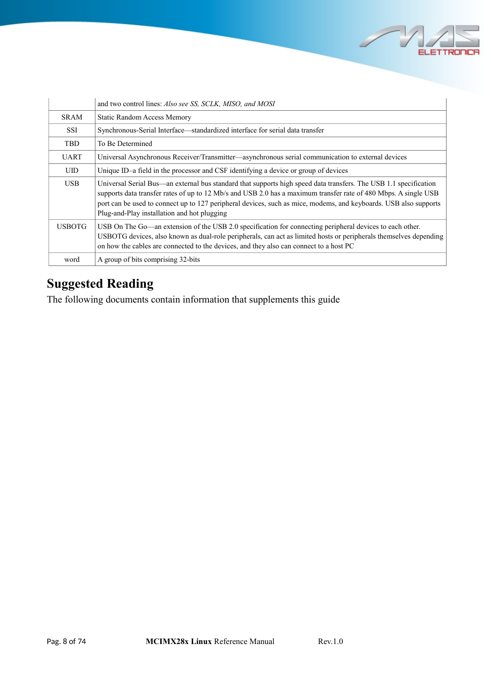

|               | and two control lines: Also see SS, SCLK, MISO, and MOSI                                                                                                                                                                                                                                                                                                                                               |
|---------------|--------------------------------------------------------------------------------------------------------------------------------------------------------------------------------------------------------------------------------------------------------------------------------------------------------------------------------------------------------------------------------------------------------|
| <b>SRAM</b>   | <b>Static Random Access Memory</b>                                                                                                                                                                                                                                                                                                                                                                     |
| <b>SSI</b>    | Synchronous-Serial Interface—standardized interface for serial data transfer                                                                                                                                                                                                                                                                                                                           |
| <b>TBD</b>    | To Be Determined                                                                                                                                                                                                                                                                                                                                                                                       |
| <b>UART</b>   | Universal Asynchronous Receiver/Transmitter—asynchronous serial communication to external devices                                                                                                                                                                                                                                                                                                      |
| <b>UID</b>    | Unique ID-a field in the processor and CSF identifying a device or group of devices                                                                                                                                                                                                                                                                                                                    |
| <b>USB</b>    | Universal Serial Bus—an external bus standard that supports high speed data transfers. The USB 1.1 specification<br>supports data transfer rates of up to 12 Mb/s and USB 2.0 has a maximum transfer rate of 480 Mbps. A single USB<br>port can be used to connect up to 127 peripheral devices, such as mice, modems, and keyboards. USB also supports<br>Plug-and-Play installation and hot plugging |
| <b>USBOTG</b> | USB On The Go—an extension of the USB 2.0 specification for connecting peripheral devices to each other.<br>USBOTG devices, also known as dual-role peripherals, can act as limited hosts or peripherals themselves depending<br>on how the cables are connected to the devices, and they also can connect to a host PC                                                                                |
| word          | A group of bits comprising 32-bits                                                                                                                                                                                                                                                                                                                                                                     |

## **Suggested Reading**

The following documents contain information that supplements this guide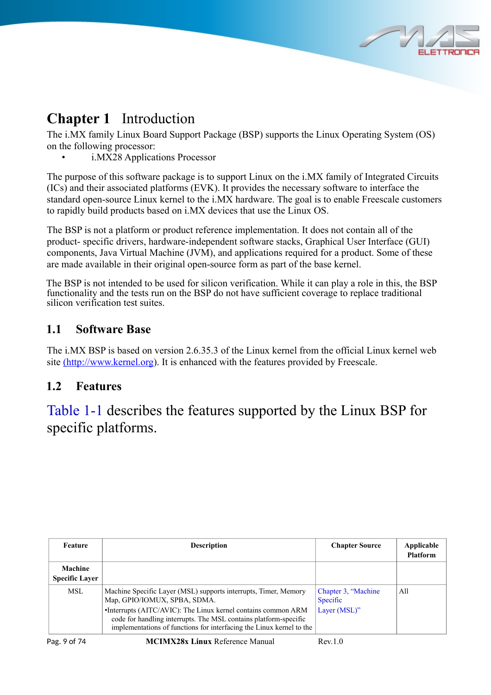

# <span id="page-8-0"></span>**Chapter 1** Introduction

The i.MX family Linux Board Support Package (BSP) supports the Linux Operating System (OS) on the following processor:

i.MX28 Applications Processor

The purpose of this software package is to support Linux on the i.MX family of Integrated Circuits (ICs) and their associated platforms (EVK). It provides the necessary software to interface the standard open-source Linux kernel to the i.MX hardware. The goal is to enable Freescale customers to rapidly build products based on i.MX devices that use the Linux OS.

The BSP is not a platform or product reference implementation. It does not contain all of the product- specific drivers, hardware-independent software stacks, Graphical User Interface (GUI) components, Java Virtual Machine (JVM), and applications required for a product. Some of these are made available in their original open-source form as part of the base kernel.

The BSP is not intended to be used for silicon verification. While it can play a role in this, the BSP functionality and the tests run on the BSP do not have sufficient coverage to replace traditional silicon verification test suites.

## **1.1 Software Base**

The i.MX BSP is based on version 2.6.35.3 of the Linux kernel from the official Linux kernel web site (http://www.kernel.org). It is enhanced with the features provided by Freescale.

#### **1.2 Features**

Table 1-1 describes the features supported by the Linux BSP for specific platforms.

| Feature                          | <b>Description</b>                                                                                                                                                                                                                                                                                           | <b>Chapter Source</b>                               | Applicable<br><b>Platform</b> |
|----------------------------------|--------------------------------------------------------------------------------------------------------------------------------------------------------------------------------------------------------------------------------------------------------------------------------------------------------------|-----------------------------------------------------|-------------------------------|
| Machine<br><b>Specific Layer</b> |                                                                                                                                                                                                                                                                                                              |                                                     |                               |
| <b>MSL</b>                       | Machine Specific Layer (MSL) supports interrupts, Timer, Memory<br>Map, GPIO/IOMUX, SPBA, SDMA.<br>•Interrupts (AITC/AVIC): The Linux kernel contains common ARM<br>code for handling interrupts. The MSL contains platform-specific<br>implementations of functions for interfacing the Linux kernel to the | Chapter 3, "Machine"<br>Specific<br>Layer $(MSL)$ " | All                           |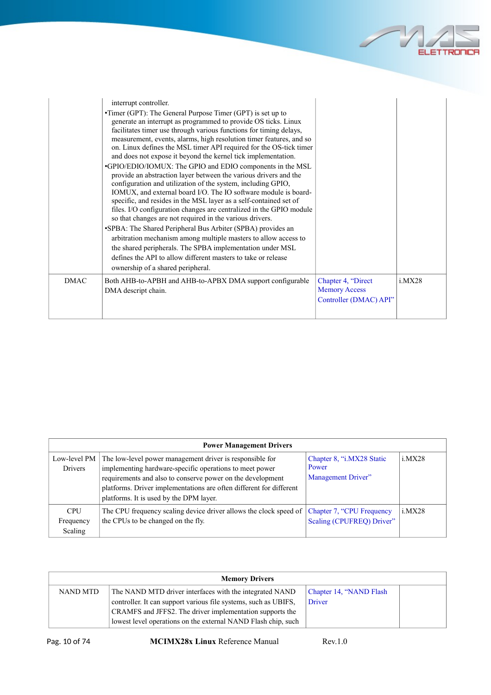|             | interrupt controller.<br>•Timer (GPT): The General Purpose Timer (GPT) is set up to<br>generate an interrupt as programmed to provide OS ticks. Linux<br>facilitates timer use through various functions for timing delays,<br>measurement, events, alarms, high resolution timer features, and so<br>on. Linux defines the MSL timer API required for the OS-tick timer<br>and does not expose it beyond the kernel tick implementation.<br>•GPIO/EDIO/IOMUX: The GPIO and EDIO components in the MSL<br>provide an abstraction layer between the various drivers and the<br>configuration and utilization of the system, including GPIO,<br>IOMUX, and external board I/O. The IO software module is board-<br>specific, and resides in the MSL layer as a self-contained set of<br>files. I/O configuration changes are centralized in the GPIO module<br>so that changes are not required in the various drivers.<br>•SPBA: The Shared Peripheral Bus Arbiter (SPBA) provides an<br>arbitration mechanism among multiple masters to allow access to<br>the shared peripherals. The SPBA implementation under MSL<br>defines the API to allow different masters to take or release<br>ownership of a shared peripheral. |                                                                      |        |
|-------------|----------------------------------------------------------------------------------------------------------------------------------------------------------------------------------------------------------------------------------------------------------------------------------------------------------------------------------------------------------------------------------------------------------------------------------------------------------------------------------------------------------------------------------------------------------------------------------------------------------------------------------------------------------------------------------------------------------------------------------------------------------------------------------------------------------------------------------------------------------------------------------------------------------------------------------------------------------------------------------------------------------------------------------------------------------------------------------------------------------------------------------------------------------------------------------------------------------------------------|----------------------------------------------------------------------|--------|
| <b>DMAC</b> | Both AHB-to-APBH and AHB-to-APBX DMA support configurable<br>DMA descript chain.                                                                                                                                                                                                                                                                                                                                                                                                                                                                                                                                                                                                                                                                                                                                                                                                                                                                                                                                                                                                                                                                                                                                           | Chapter 4, "Direct<br><b>Memory Access</b><br>Controller (DMAC) API" | i.MX28 |

**ELETTROI** 

я

| <b>Power Management Drivers</b>    |                                                                                                                                                                                                                                                                                                     |                                                          |          |  |  |
|------------------------------------|-----------------------------------------------------------------------------------------------------------------------------------------------------------------------------------------------------------------------------------------------------------------------------------------------------|----------------------------------------------------------|----------|--|--|
| Low-level PM<br>Drivers            | The low-level power management driver is responsible for<br>implementing hardware-specific operations to meet power<br>requirements and also to conserve power on the development<br>platforms. Driver implementations are often different for different<br>platforms. It is used by the DPM layer. | Chapter 8, "i.MX28 Static<br>Power<br>Management Driver" | $i$ MX28 |  |  |
| <b>CPU</b><br>Frequency<br>Scaling | The CPU frequency scaling device driver allows the clock speed of<br>the CPUs to be changed on the fly.                                                                                                                                                                                             | Chapter 7, "CPU Frequency"<br>Scaling (CPUFREQ) Driver"  | $i$ MX28 |  |  |

| <b>Memory Drivers</b> |                                                                 |                          |  |  |
|-----------------------|-----------------------------------------------------------------|--------------------------|--|--|
| NAND MTD              | The NAND MTD driver interfaces with the integrated NAND         | Chapter 14, "NAND Flash" |  |  |
|                       | controller. It can support various file systems, such as UBIFS, | Driver                   |  |  |
|                       | CRAMFS and JFFS2. The driver implementation supports the        |                          |  |  |
|                       | lowest level operations on the external NAND Flash chip, such   |                          |  |  |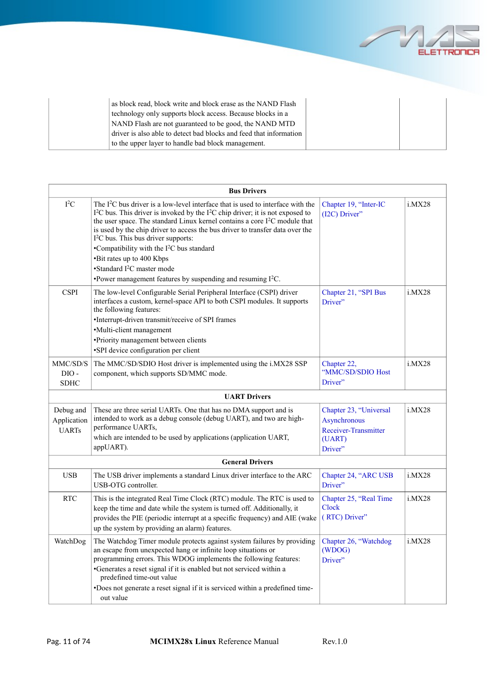| as block read, block write and block erase as the NAND Flash       |  |
|--------------------------------------------------------------------|--|
| technology only supports block access. Because blocks in a         |  |
| NAND Flash are not guaranteed to be good, the NAND MTD             |  |
| driver is also able to detect bad blocks and feed that information |  |
| to the upper layer to handle bad block management.                 |  |

/

**ELETTROD** 

É

|                                          | <b>Bus Drivers</b>                                                                                                                                                                                                                                                                                                                                                                                                                                                                                                                                                                                            |                                                                                            |           |
|------------------------------------------|---------------------------------------------------------------------------------------------------------------------------------------------------------------------------------------------------------------------------------------------------------------------------------------------------------------------------------------------------------------------------------------------------------------------------------------------------------------------------------------------------------------------------------------------------------------------------------------------------------------|--------------------------------------------------------------------------------------------|-----------|
| $I^2C$                                   | The $I2C$ bus driver is a low-level interface that is used to interface with the<br>I <sup>2</sup> C bus. This driver is invoked by the I <sup>2</sup> C chip driver; it is not exposed to<br>the user space. The standard Linux kernel contains a core I <sup>2</sup> C module that<br>is used by the chip driver to access the bus driver to transfer data over the<br>I <sup>2</sup> C bus. This bus driver supports:<br>•Compatibility with the $I2C$ bus standard<br>•Bit rates up to 400 Kbps<br>•Standard $I2C$ master mode<br>•Power management features by suspending and resuming I <sup>2</sup> C. | Chapter 19, "Inter-IC<br>(I2C) Driver"                                                     | $i$ .MX28 |
| <b>CSPI</b>                              | The low-level Configurable Serial Peripheral Interface (CSPI) driver<br>interfaces a custom, kernel-space API to both CSPI modules. It supports<br>the following features:<br>•Interrupt-driven transmit/receive of SPI frames<br>•Multi-client management<br>•Priority management between clients<br>•SPI device configuration per client                                                                                                                                                                                                                                                                    | Chapter 21, "SPI Bus<br>Driver"                                                            | $i$ .MX28 |
| MMC/SD/S<br>$DIO-$<br><b>SDHC</b>        | The MMC/SD/SDIO Host driver is implemented using the i.MX28 SSP<br>component, which supports SD/MMC mode.                                                                                                                                                                                                                                                                                                                                                                                                                                                                                                     | Chapter 22,<br>"MMC/SD/SDIO Host<br>Driver"                                                | i.MX28    |
|                                          | <b>UART Drivers</b>                                                                                                                                                                                                                                                                                                                                                                                                                                                                                                                                                                                           |                                                                                            |           |
| Debug and<br>Application<br><b>UARTs</b> | These are three serial UARTs. One that has no DMA support and is<br>intended to work as a debug console (debug UART), and two are high-<br>performance UARTs,<br>which are intended to be used by applications (application UART,<br>appUART).                                                                                                                                                                                                                                                                                                                                                                | Chapter 23, "Universal<br>Asynchronous<br><b>Receiver-Transmitter</b><br>(UART)<br>Driver" | $i$ .MX28 |
|                                          | <b>General Drivers</b>                                                                                                                                                                                                                                                                                                                                                                                                                                                                                                                                                                                        |                                                                                            |           |
| <b>USB</b>                               | The USB driver implements a standard Linux driver interface to the ARC<br>USB-OTG controller.                                                                                                                                                                                                                                                                                                                                                                                                                                                                                                                 | Chapter 24, "ARC USB<br>Driver"                                                            | i.MX28    |
| <b>RTC</b>                               | This is the integrated Real Time Clock (RTC) module. The RTC is used to<br>keep the time and date while the system is turned off. Additionally, it<br>provides the PIE (periodic interrupt at a specific frequency) and AIE (wake<br>up the system by providing an alarm) features.                                                                                                                                                                                                                                                                                                                           | Chapter 25, "Real Time<br>Clock<br>(RTC) Driver"                                           | $i$ .MX28 |
| WatchDog                                 | The Watchdog Timer module protects against system failures by providing<br>an escape from unexpected hang or infinite loop situations or<br>programming errors. This WDOG implements the following features:<br>•Generates a reset signal if it is enabled but not serviced within a<br>predefined time-out value<br>•Does not generate a reset signal if it is serviced within a predefined time-                                                                                                                                                                                                            | Chapter 26, "Watchdog<br>(WDOG)<br>Driver"                                                 | i.MX28    |
|                                          | out value                                                                                                                                                                                                                                                                                                                                                                                                                                                                                                                                                                                                     |                                                                                            |           |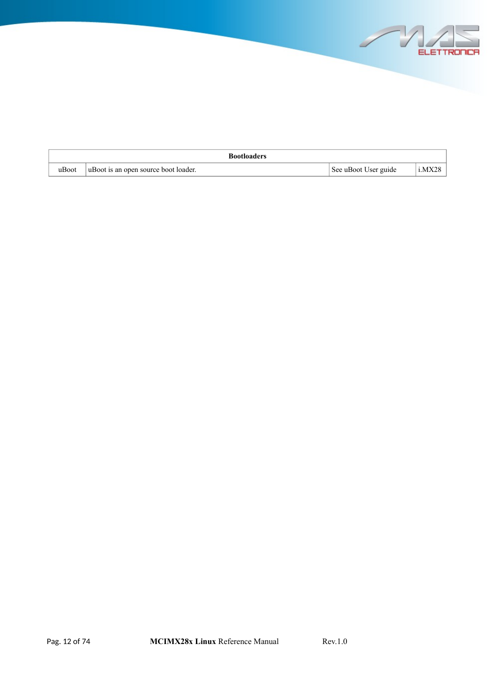

| <b>Bootloaders</b> |                                      |                      |       |  |  |  |
|--------------------|--------------------------------------|----------------------|-------|--|--|--|
| uBoot              | uBoot is an open source boot loader. | See uBoot User guide | MX28. |  |  |  |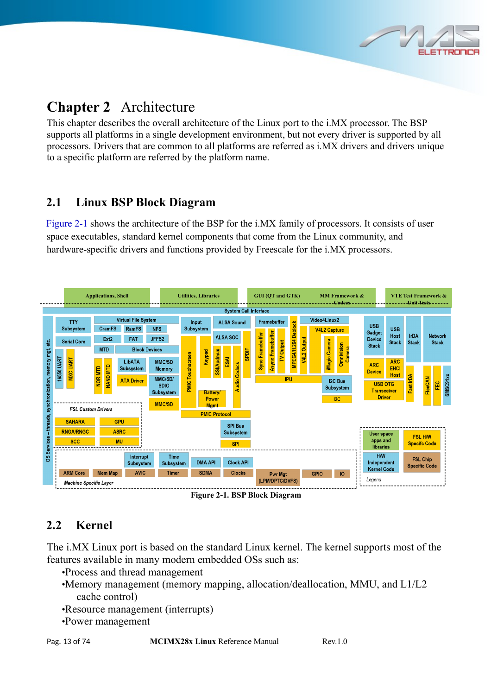# <span id="page-12-0"></span>**Chapter 2** Architecture

This chapter describes the overall architecture of the Linux port to the i.MX processor. The BSP supports all platforms in a single development environment, but not every driver is supported by all processors. Drivers that are common to all platforms are referred as i.MX drivers and drivers unique to a specific platform are referred by the platform name.

TRODCA

## **2.1 Linux BSP Block Diagram**

Figure 2-1 shows the architecture of the BSP for the i.MX family of processors. It consists of user space executables, standard kernel components that come from the Linux community, and hardware-specific drivers and functions provided by Freescale for the i.MX processors.



**Figure 2-1. BSP Block Diagram**

## **2.2 Kernel**

The i.MX Linux port is based on the standard Linux kernel. The kernel supports most of the features available in many modern embedded OSs such as:

- •Process and thread management
- •Memory management (memory mapping, allocation/deallocation, MMU, and L1/L2 cache control)
- •Resource management (interrupts)
- •Power management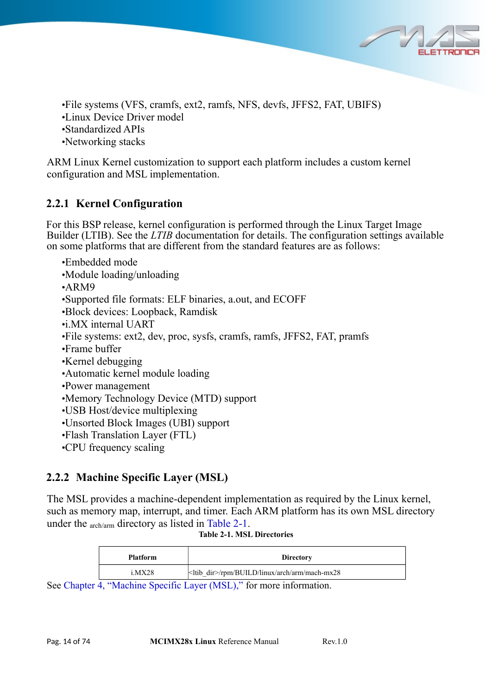

•File systems (VFS, cramfs, ext2, ramfs, NFS, devfs, JFFS2, FAT, UBIFS) •Linux Device Driver model •Standardized APIs •Networking stacks

ARM Linux Kernel customization to support each platform includes a custom kernel configuration and MSL implementation.

#### **2.2.1 Kernel Configuration**

For this BSP release, kernel configuration is performed through the Linux Target Image Builder (LTIB). See the *LTIB* documentation for details. The configuration settings available on some platforms that are different from the standard features are as follows:

- •Embedded mode
- •Module loading/unloading
- •ARM9
- •Supported file formats: ELF binaries, a.out, and ECOFF

•Block devices: Loopback, Ramdisk

- •i.MX internal UART
- •File systems: ext2, dev, proc, sysfs, cramfs, ramfs, JFFS2, FAT, pramfs
- •Frame buffer
- •Kernel debugging
- •Automatic kernel module loading
- •Power management
- •Memory Technology Device (MTD) support
- •USB Host/device multiplexing
- •Unsorted Block Images (UBI) support
- •Flash Translation Layer (FTL)
- •CPU frequency scaling

#### **2.2.2 Machine Specific Layer (MSL)**

The MSL provides a machine-dependent implementation as required by the Linux kernel, such as memory map, interrupt, and timer. Each ARM platform has its own MSL directory under the arch/arm directory as listed in Table 2-1.

#### **Table 2-1. MSL Directories**

| <b>Platform</b>                  | <b>Directory</b>                                                                   |  |
|----------------------------------|------------------------------------------------------------------------------------|--|
| i.MX28                           | $ \langle \text{ltib } \text{dir}\rangle/\text{rpm/BULD/linux/arch/arm/mach-mx28}$ |  |
| $\sqrt{1}$ $\sqrt{1}$ $\sqrt{1}$ | $\triangle$ $\triangle$ $\triangle$ $\triangle$ $\triangle$                        |  |

See Chapter 4, "Machine Specific Layer (MSL)," for more information.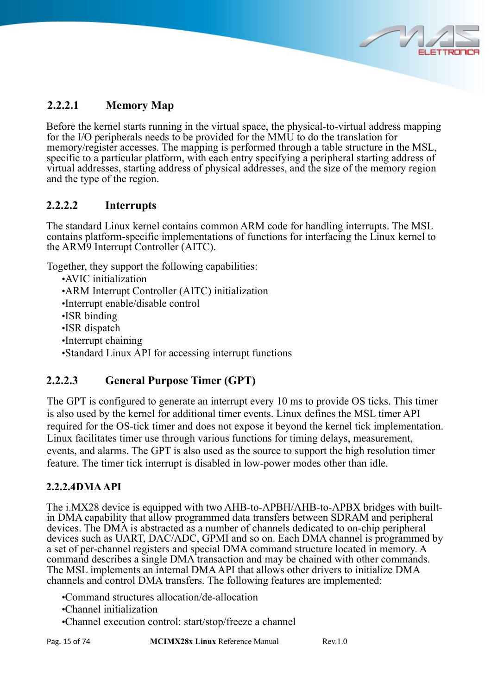

#### **2.2.2.1 Memory Map**

Before the kernel starts running in the virtual space, the physical-to-virtual address mapping for the I/O peripherals needs to be provided for the MMU to do the translation for memory/register accesses. The mapping is performed through a table structure in the MSL, specific to a particular platform, with each entry specifying a peripheral starting address of virtual addresses, starting address of physical addresses, and the size of the memory region and the type of the region.

#### **2.2.2.2 Interrupts**

The standard Linux kernel contains common ARM code for handling interrupts. The MSL contains platform-specific implementations of functions for interfacing the Linux kernel to the ARM9 Interrupt Controller (AITC).

Together, they support the following capabilities:

- •AVIC initialization
- •ARM Interrupt Controller (AITC) initialization
- •Interrupt enable/disable control
- •ISR binding
- •ISR dispatch
- •Interrupt chaining
- •Standard Linux API for accessing interrupt functions

#### **2.2.2.3 General Purpose Timer (GPT)**

The GPT is configured to generate an interrupt every 10 ms to provide OS ticks. This timer is also used by the kernel for additional timer events. Linux defines the MSL timer API required for the OS-tick timer and does not expose it beyond the kernel tick implementation. Linux facilitates timer use through various functions for timing delays, measurement, events, and alarms. The GPT is also used as the source to support the high resolution timer feature. The timer tick interrupt is disabled in low-power modes other than idle.

#### **2.2.2.4DMA API**

The i.MX28 device is equipped with two AHB-to-APBH/AHB-to-APBX bridges with builtin DMA capability that allow programmed data transfers between SDRAM and peripheral devices. The DMA is abstracted as a number of channels dedicated to on-chip peripheral devices such as UART, DAC/ADC, GPMI and so on. Each DMA channel is programmed by a set of per-channel registers and special DMA command structure located in memory. A command describes a single DMA transaction and may be chained with other commands. The MSL implements an internal DMA API that allows other drivers to initialize DMA channels and control DMA transfers. The following features are implemented:

- •Command structures allocation/de-allocation
- •Channel initialization
- •Channel execution control: start/stop/freeze a channel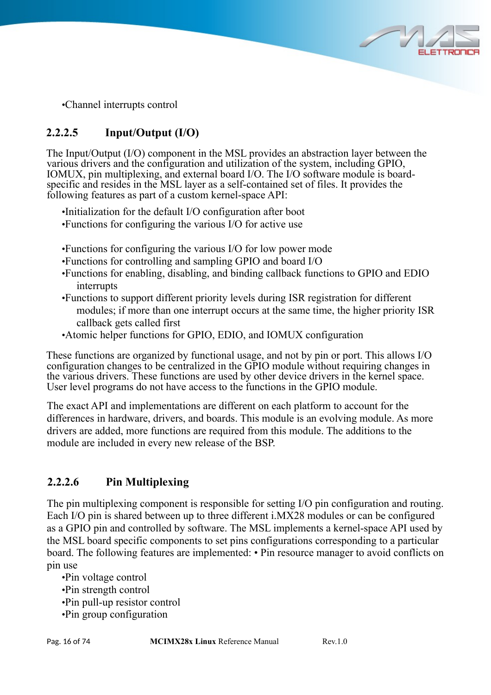

•Channel interrupts control

## **2.2.2.5 Input/Output (I/O)**

The Input/Output (I/O) component in the MSL provides an abstraction layer between the various drivers and the configuration and utilization of the system, including GPIO, IOMUX, pin multiplexing, and external board I/O. The I/O software module is boardspecific and resides in the MSL layer as a self-contained set of files. It provides the following features as part of a custom kernel-space API:

- •Initialization for the default I/O configuration after boot
- •Functions for configuring the various I/O for active use
- •Functions for configuring the various I/O for low power mode
- •Functions for controlling and sampling GPIO and board I/O
- •Functions for enabling, disabling, and binding callback functions to GPIO and EDIO interrupts
- •Functions to support different priority levels during ISR registration for different modules; if more than one interrupt occurs at the same time, the higher priority ISR callback gets called first
- •Atomic helper functions for GPIO, EDIO, and IOMUX configuration

These functions are organized by functional usage, and not by pin or port. This allows I/O configuration changes to be centralized in the GPIO module without requiring changes in the various drivers. These functions are used by other device drivers in the kernel space. User level programs do not have access to the functions in the GPIO module.

The exact API and implementations are different on each platform to account for the differences in hardware, drivers, and boards. This module is an evolving module. As more drivers are added, more functions are required from this module. The additions to the module are included in every new release of the BSP.

#### **2.2.2.6 Pin Multiplexing**

The pin multiplexing component is responsible for setting I/O pin configuration and routing. Each I/O pin is shared between up to three different i.MX28 modules or can be configured as a GPIO pin and controlled by software. The MSL implements a kernel-space API used by the MSL board specific components to set pins configurations corresponding to a particular board. The following features are implemented: • Pin resource manager to avoid conflicts on pin use

•Pin voltage control •Pin strength control •Pin pull-up resistor control •Pin group configuration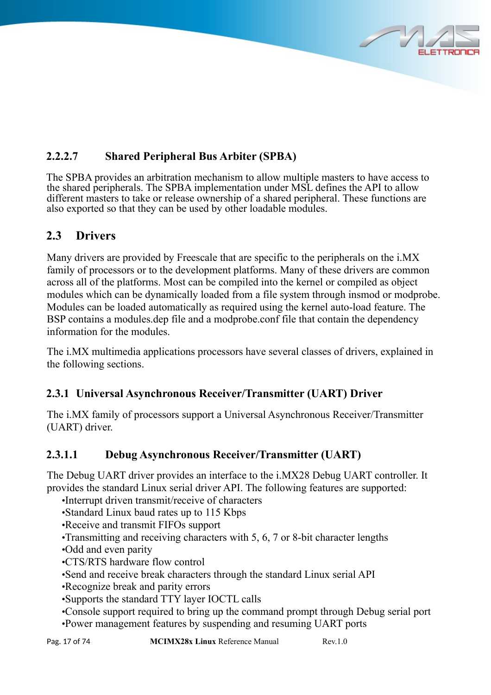

#### **2.2.2.7 Shared Peripheral Bus Arbiter (SPBA)**

The SPBA provides an arbitration mechanism to allow multiple masters to have access to the shared peripherals. The SPBA implementation under MSL defines the API to allow different masters to take or release ownership of a shared peripheral. These functions are also exported so that they can be used by other loadable modules.

## **2.3 Drivers**

Many drivers are provided by Freescale that are specific to the peripherals on the i.MX family of processors or to the development platforms. Many of these drivers are common across all of the platforms. Most can be compiled into the kernel or compiled as object modules which can be dynamically loaded from a file system through insmod or modprobe. Modules can be loaded automatically as required using the kernel auto-load feature. The BSP contains a modules.dep file and a modprobe.conf file that contain the dependency information for the modules.

The i.MX multimedia applications processors have several classes of drivers, explained in the following sections.

#### **2.3.1 Universal Asynchronous Receiver/Transmitter (UART) Driver**

The i.MX family of processors support a Universal Asynchronous Receiver/Transmitter (UART) driver.

#### **2.3.1.1 Debug Asynchronous Receiver/Transmitter (UART)**

The Debug UART driver provides an interface to the i.MX28 Debug UART controller. It provides the standard Linux serial driver API. The following features are supported:

- •Interrupt driven transmit/receive of characters
- •Standard Linux baud rates up to 115 Kbps
- •Receive and transmit FIFOs support
- •Transmitting and receiving characters with 5, 6, 7 or 8-bit character lengths
- •Odd and even parity
- •CTS/RTS hardware flow control
- •Send and receive break characters through the standard Linux serial API
- •Recognize break and parity errors
- •Supports the standard TTY layer IOCTL calls
- •Console support required to bring up the command prompt through Debug serial port
- •Power management features by suspending and resuming UART ports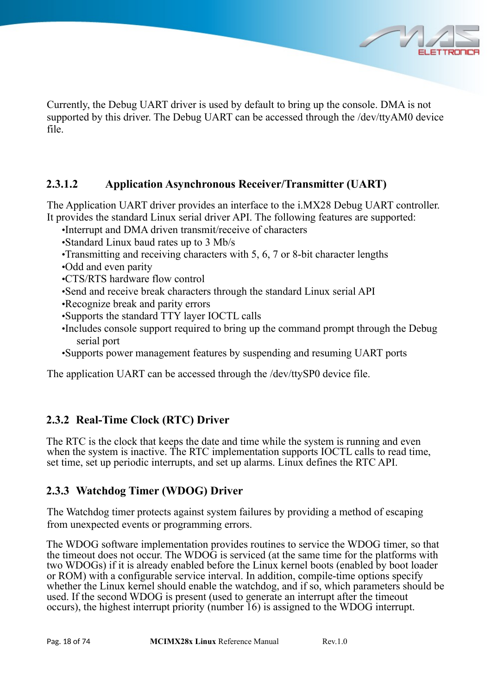

Currently, the Debug UART driver is used by default to bring up the console. DMA is not supported by this driver. The Debug UART can be accessed through the /dev/ttyAM0 device file.

#### **2.3.1.2 Application Asynchronous Receiver/Transmitter (UART)**

The Application UART driver provides an interface to the i.MX28 Debug UART controller. It provides the standard Linux serial driver API. The following features are supported:

- •Interrupt and DMA driven transmit/receive of characters
- •Standard Linux baud rates up to 3 Mb/s
- •Transmitting and receiving characters with 5, 6, 7 or 8-bit character lengths
- •Odd and even parity
- •CTS/RTS hardware flow control
- •Send and receive break characters through the standard Linux serial API
- •Recognize break and parity errors
- •Supports the standard TTY layer IOCTL calls
- •Includes console support required to bring up the command prompt through the Debug serial port
- •Supports power management features by suspending and resuming UART ports

The application UART can be accessed through the /dev/ttySP0 device file.

#### **2.3.2 Real-Time Clock (RTC) Driver**

The RTC is the clock that keeps the date and time while the system is running and even when the system is inactive. The RTC implementation supports IOCTL calls to read time, set time, set up periodic interrupts, and set up alarms. Linux defines the RTC API.

#### **2.3.3 Watchdog Timer (WDOG) Driver**

The Watchdog timer protects against system failures by providing a method of escaping from unexpected events or programming errors.

The WDOG software implementation provides routines to service the WDOG timer, so that the timeout does not occur. The WDOG is serviced (at the same time for the platforms with two WDOGs) if it is already enabled before the Linux kernel boots (enabled by boot loader or ROM) with a configurable service interval. In addition, compile-time options specify whether the Linux kernel should enable the watchdog, and if so, which parameters should be used. If the second WDOG is present (used to generate an interrupt after the timeout occurs), the highest interrupt priority (number 16) is assigned to the WDOG interrupt.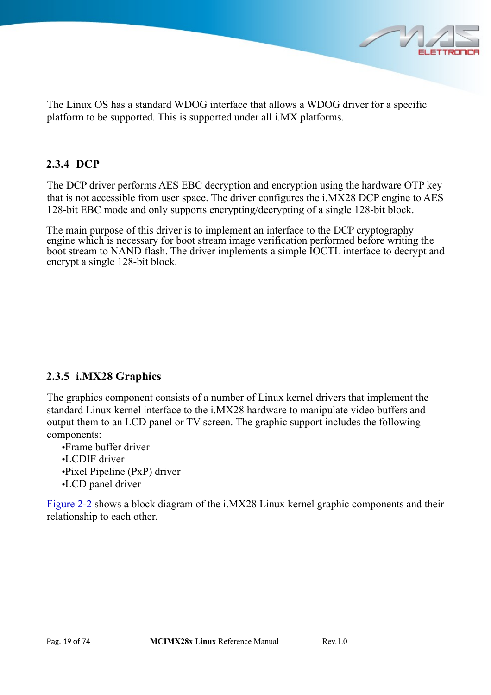

The Linux OS has a standard WDOG interface that allows a WDOG driver for a specific platform to be supported. This is supported under all i.MX platforms.

#### **2.3.4 DCP**

The DCP driver performs AES EBC decryption and encryption using the hardware OTP key that is not accessible from user space. The driver configures the i.MX28 DCP engine to AES 128-bit EBC mode and only supports encrypting/decrypting of a single 128-bit block.

The main purpose of this driver is to implement an interface to the DCP cryptography engine which is necessary for boot stream image verification performed before writing the boot stream to NAND flash. The driver implements a simple IOCTL interface to decrypt and encrypt a single 128-bit block.

#### **2.3.5 i.MX28 Graphics**

The graphics component consists of a number of Linux kernel drivers that implement the standard Linux kernel interface to the i.MX28 hardware to manipulate video buffers and output them to an LCD panel or TV screen. The graphic support includes the following components:

•Frame buffer driver

•LCDIF driver

•Pixel Pipeline (PxP) driver

•LCD panel driver

Figure 2-2 shows a block diagram of the i.MX28 Linux kernel graphic components and their relationship to each other.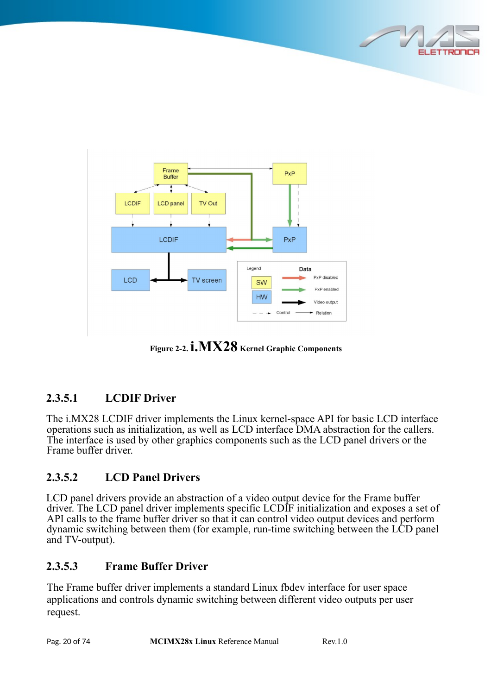



**Figure 2-2. i.MX28 Kernel Graphic Components**

## **2.3.5.1 LCDIF Driver**

The i.MX28 LCDIF driver implements the Linux kernel-space API for basic LCD interface operations such as initialization, as well as LCD interface DMA abstraction for the callers. The interface is used by other graphics components such as the LCD panel drivers or the Frame buffer driver.

## **2.3.5.2 LCD Panel Drivers**

LCD panel drivers provide an abstraction of a video output device for the Frame buffer driver. The LCD panel driver implements specific LCDIF initialization and exposes a set of API calls to the frame buffer driver so that it can control video output devices and perform dynamic switching between them (for example, run-time switching between the LCD panel and TV-output).

#### **2.3.5.3 Frame Buffer Driver**

The Frame buffer driver implements a standard Linux fbdev interface for user space applications and controls dynamic switching between different video outputs per user request.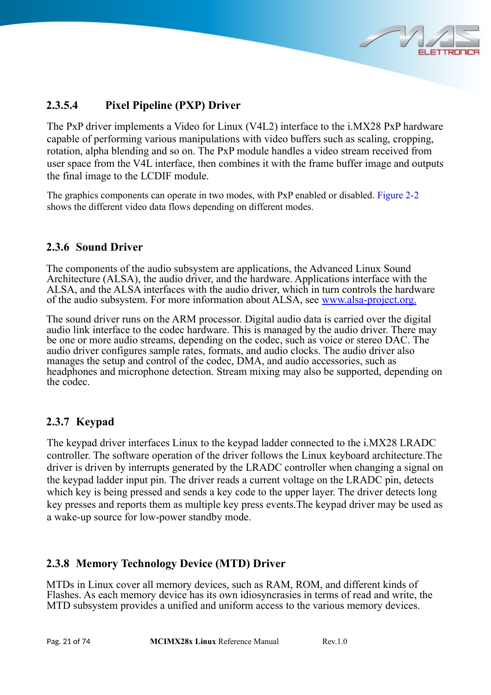## **2.3.5.4 Pixel Pipeline (PXP) Driver**

The PxP driver implements a Video for Linux (V4L2) interface to the i.MX28 PxP hardware capable of performing various manipulations with video buffers such as scaling, cropping, rotation, alpha blending and so on. The PxP module handles a video stream received from user space from the V4L interface, then combines it with the frame buffer image and outputs the final image to the LCDIF module.

The graphics components can operate in two modes, with PxP enabled or disabled. Figure 2-2 shows the different video data flows depending on different modes.

#### **2.3.6 Sound Driver**

The components of the audio subsystem are applications, the Advanced Linux Sound Architecture (ALSA), the audio driver, and the hardware. Applications interface with the ALSA, and the ALSA interfaces with the audio driver, which in turn controls the hardware of the audio subsystem. For more information about ALSA, see [www.alsa-project.org.](http://www.opensound.com/)

The sound driver runs on the ARM processor. Digital audio data is carried over the digital audio link interface to the codec hardware. This is managed by the audio driver. There may be one or more audio streams, depending on the codec, such as voice or stereo DAC. The audio driver configures sample rates, formats, and audio clocks. The audio driver also manages the setup and control of the codec, DMA, and audio accessories, such as headphones and microphone detection. Stream mixing may also be supported, depending on the codec.

#### **2.3.7 Keypad**

The keypad driver interfaces Linux to the keypad ladder connected to the i.MX28 LRADC controller. The software operation of the driver follows the Linux keyboard architecture.The driver is driven by interrupts generated by the LRADC controller when changing a signal on the keypad ladder input pin. The driver reads a current voltage on the LRADC pin, detects which key is being pressed and sends a key code to the upper layer. The driver detects long key presses and reports them as multiple key press events.The keypad driver may be used as a wake-up source for low-power standby mode.

#### **2.3.8 Memory Technology Device (MTD) Driver**

MTDs in Linux cover all memory devices, such as RAM, ROM, and different kinds of Flashes. As each memory device has its own idiosyncrasies in terms of read and write, the MTD subsystem provides a unified and uniform access to the various memory devices.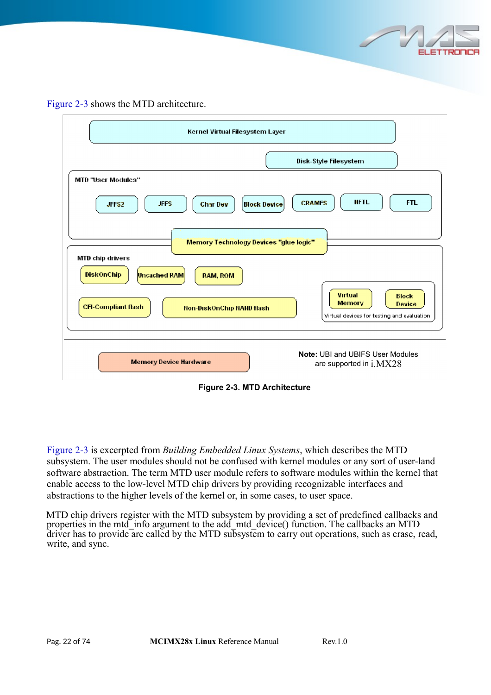

Figure 2-3 shows the MTD architecture.



**Figure 2-3. MTD Architecture**

Figure 2-3 is excerpted from *Building Embedded Linux Systems*, which describes the MTD subsystem. The user modules should not be confused with kernel modules or any sort of user-land software abstraction. The term MTD user module refers to software modules within the kernel that enable access to the low-level MTD chip drivers by providing recognizable interfaces and abstractions to the higher levels of the kernel or, in some cases, to user space.

MTD chip drivers register with the MTD subsystem by providing a set of predefined callbacks and properties in the mtd\_info argument to the add\_mtd\_device() function. The callbacks an MTD driver has to provide are called by the MTD subsystem to carry out operations, such as erase, read, write, and sync.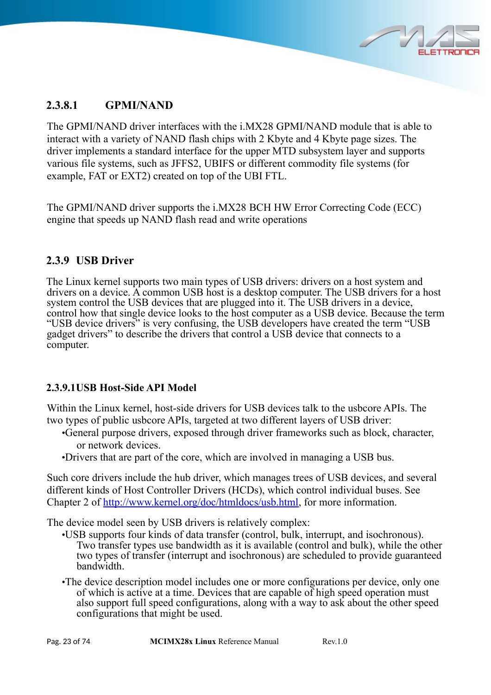

#### **2.3.8.1 GPMI/NAND**

The GPMI/NAND driver interfaces with the i.MX28 GPMI/NAND module that is able to interact with a variety of NAND flash chips with 2 Kbyte and 4 Kbyte page sizes. The driver implements a standard interface for the upper MTD subsystem layer and supports various file systems, such as JFFS2, UBIFS or different commodity file systems (for example, FAT or EXT2) created on top of the UBI FTL.

The GPMI/NAND driver supports the i.MX28 BCH HW Error Correcting Code (ECC) engine that speeds up NAND flash read and write operations

#### **2.3.9 USB Driver**

The Linux kernel supports two main types of USB drivers: drivers on a host system and drivers on a device. A common USB host is a desktop computer. The USB drivers for a host system control the USB devices that are plugged into it. The USB drivers in a device, control how that single device looks to the host computer as a USB device. Because the term "USB device drivers" is very confusing, the USB developers have created the term "USB gadget drivers" to describe the drivers that control a USB device that connects to a computer.

#### **2.3.9.1USB Host-Side API Model**

Within the Linux kernel, host-side drivers for USB devices talk to the usbcore APIs. The two types of public usbcore APIs, targeted at two different layers of USB driver:

- •General purpose drivers, exposed through driver frameworks such as block, character, or network devices.
- •Drivers that are part of the core, which are involved in managing a USB bus.

Such core drivers include the hub driver, which manages trees of USB devices, and several different kinds of Host Controller Drivers (HCDs), which control individual buses. See Chapter 2 of [http://www.kernel.org/doc/htmldocs/usb.html,](http://www.kernel.org/doc/htmldocs/usb.html) for more information.

The device model seen by USB drivers is relatively complex:

- •USB supports four kinds of data transfer (control, bulk, interrupt, and isochronous). Two transfer types use bandwidth as it is available (control and bulk), while the other two types of transfer (interrupt and isochronous) are scheduled to provide guaranteed bandwidth.
- •The device description model includes one or more configurations per device, only one of which is active at a time. Devices that are capable of high speed operation must also support full speed configurations, along with a way to ask about the other speed configurations that might be used.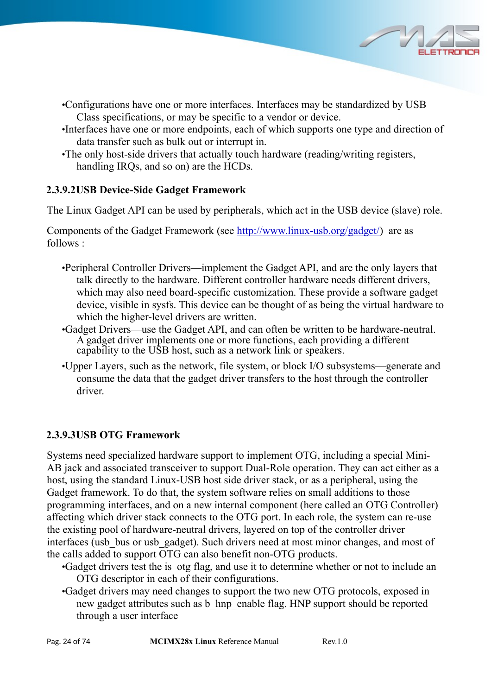

- •Configurations have one or more interfaces. Interfaces may be standardized by USB Class specifications, or may be specific to a vendor or device.
- •Interfaces have one or more endpoints, each of which supports one type and direction of data transfer such as bulk out or interrupt in.
- •The only host-side drivers that actually touch hardware (reading/writing registers, handling IRQs, and so on) are the HCDs.

#### **2.3.9.2USB Device-Side Gadget Framework**

The Linux Gadget API can be used by peripherals, which act in the USB device (slave) role.

Components of the Gadget Framework (see http://www.linux-usb.org/gadget/) are as follows :

- •Peripheral Controller Drivers—implement the Gadget API, and are the only layers that talk directly to the hardware. Different controller hardware needs different drivers, which may also need board-specific customization. These provide a software gadget device, visible in sysfs. This device can be thought of as being the virtual hardware to which the higher-level drivers are written.
- •Gadget Drivers—use the Gadget API, and can often be written to be hardware-neutral. A gadget driver implements one or more functions, each providing a different capability to the USB host, such as a network link or speakers.
- •Upper Layers, such as the network, file system, or block I/O subsystems—generate and consume the data that the gadget driver transfers to the host through the controller driver.

#### **2.3.9.3USB OTG Framework**

Systems need specialized hardware support to implement OTG, including a special Mini-AB jack and associated transceiver to support Dual-Role operation. They can act either as a host, using the standard Linux-USB host side driver stack, or as a peripheral, using the Gadget framework. To do that, the system software relies on small additions to those programming interfaces, and on a new internal component (here called an OTG Controller) affecting which driver stack connects to the OTG port. In each role, the system can re-use the existing pool of hardware-neutral drivers, layered on top of the controller driver interfaces (usb bus or usb gadget). Such drivers need at most minor changes, and most of the calls added to support OTG can also benefit non-OTG products.

- •Gadget drivers test the is otg flag, and use it to determine whether or not to include an OTG descriptor in each of their configurations.
- •Gadget drivers may need changes to support the two new OTG protocols, exposed in new gadget attributes such as b\_hnp\_enable flag. HNP support should be reported through a user interface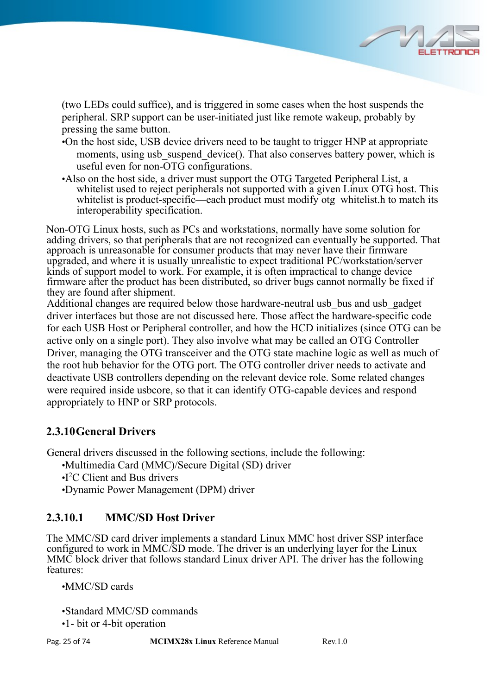

(two LEDs could suffice), and is triggered in some cases when the host suspends the peripheral. SRP support can be user-initiated just like remote wakeup, probably by pressing the same button.

- •On the host side, USB device drivers need to be taught to trigger HNP at appropriate moments, using usb suspend device(). That also conserves battery power, which is useful even for non-OTG configurations.
- •Also on the host side, a driver must support the OTG Targeted Peripheral List, a whitelist used to reject peripherals not supported with a given Linux OTG host. This whitelist is product-specific—each product must modify otg\_whitelist.h to match its interoperability specification.

Non-OTG Linux hosts, such as PCs and workstations, normally have some solution for adding drivers, so that peripherals that are not recognized can eventually be supported. That approach is unreasonable for consumer products that may never have their firmware upgraded, and where it is usually unrealistic to expect traditional PC/workstation/server kinds of support model to work. For example, it is often impractical to change device firmware after the product has been distributed, so driver bugs cannot normally be fixed if they are found after shipment.

Additional changes are required below those hardware-neutral usb bus and usb gadget driver interfaces but those are not discussed here. Those affect the hardware-specific code for each USB Host or Peripheral controller, and how the HCD initializes (since OTG can be active only on a single port). They also involve what may be called an OTG Controller Driver, managing the OTG transceiver and the OTG state machine logic as well as much of the root hub behavior for the OTG port. The OTG controller driver needs to activate and deactivate USB controllers depending on the relevant device role. Some related changes were required inside usbcore, so that it can identify OTG-capable devices and respond appropriately to HNP or SRP protocols.

#### **2.3.10General Drivers**

General drivers discussed in the following sections, include the following:

- •Multimedia Card (MMC)/Secure Digital (SD) driver
- •I <sup>2</sup>C Client and Bus drivers
- •Dynamic Power Management (DPM) driver

## **2.3.10.1 MMC/SD Host Driver**

The MMC/SD card driver implements a standard Linux MMC host driver SSP interface configured to work in MMC/SD mode. The driver is an underlying layer for the Linux MMC block driver that follows standard Linux driver API. The driver has the following features:

•MMC/SD cards

•Standard MMC/SD commands

•1- bit or 4-bit operation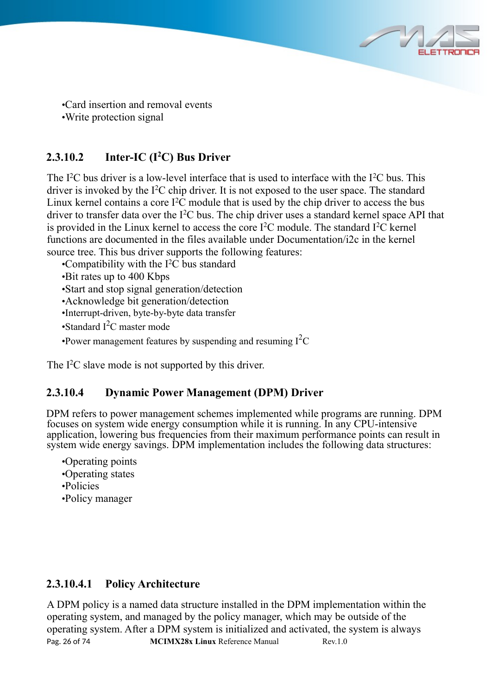•Card insertion and removal events

•Write protection signal

#### **2.3.10.2 Inter-IC (I<sup>2</sup>C) Bus Driver**

The I<sup>2</sup>C bus driver is a low-level interface that is used to interface with the I<sup>2</sup>C bus. This driver is invoked by the I<sup>2</sup>C chip driver. It is not exposed to the user space. The standard Linux kernel contains a core I<sup>2</sup>C module that is used by the chip driver to access the bus driver to transfer data over the I<sup>2</sup>C bus. The chip driver uses a standard kernel space API that is provided in the Linux kernel to access the core I<sup>2</sup>C module. The standard I<sup>2</sup>C kernel functions are documented in the files available under Documentation/i2c in the kernel source tree. This bus driver supports the following features:

•Compatibility with the I<sup>2</sup>C bus standard

•Bit rates up to 400 Kbps

•Start and stop signal generation/detection

•Acknowledge bit generation/detection

•Interrupt-driven, byte-by-byte data transfer

•Standard  $I<sup>2</sup>C$  master mode

•Power management features by suspending and resuming  $I^2C$ 

The I<sup>2</sup>C slave mode is not supported by this driver.

#### **2.3.10.4 Dynamic Power Management (DPM) Driver**

DPM refers to power management schemes implemented while programs are running. DPM focuses on system wide energy consumption while it is running. In any CPU-intensive application, lowering bus frequencies from their maximum performance points can result in system wide energy savings. DPM implementation includes the following data structures:

- •Operating points
- •Operating states
- •Policies
- •Policy manager

#### **2.3.10.4.1 Policy Architecture**

A DPM policy is a named data structure installed in the DPM implementation within the operating system, and managed by the policy manager, which may be outside of the operating system. After a DPM system is initialized and activated, the system is always Pag. 26 of 74 **MCIMX28x Linux** Reference Manual Rev.1.0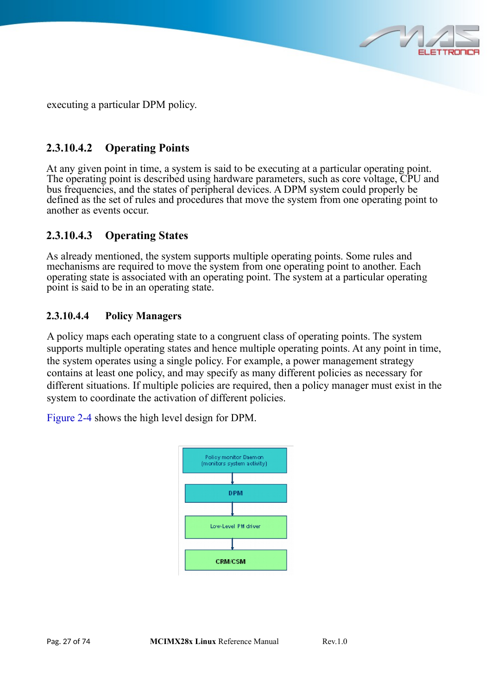

executing a particular DPM policy.

#### **2.3.10.4.2 Operating Points**

At any given point in time, a system is said to be executing at a particular operating point. The operating point is described using hardware parameters, such as core voltage, CPU and bus frequencies, and the states of peripheral devices. A DPM system could properly be defined as the set of rules and procedures that move the system from one operating point to another as events occur.

#### **2.3.10.4.3 Operating States**

As already mentioned, the system supports multiple operating points. Some rules and mechanisms are required to move the system from one operating point to another. Each operating state is associated with an operating point. The system at a particular operating point is said to be in an operating state.

#### **2.3.10.4.4 Policy Managers**

A policy maps each operating state to a congruent class of operating points. The system supports multiple operating states and hence multiple operating points. At any point in time, the system operates using a single policy. For example, a power management strategy contains at least one policy, and may specify as many different policies as necessary for different situations. If multiple policies are required, then a policy manager must exist in the system to coordinate the activation of different policies.

Figure 2-4 shows the high level design for DPM.

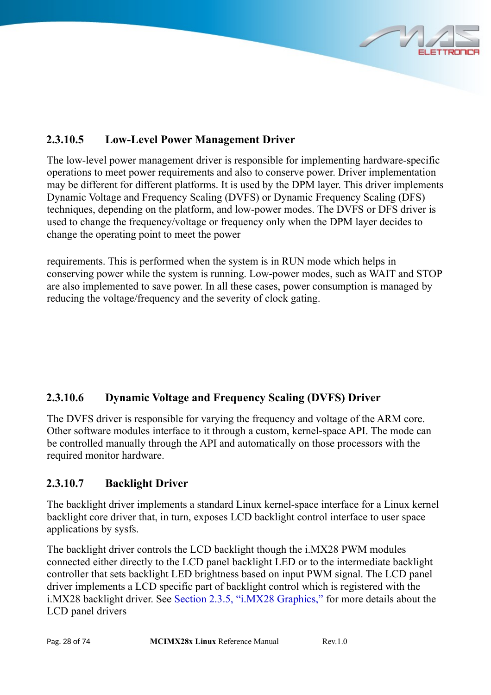

The low-level power management driver is responsible for implementing hardware-specific operations to meet power requirements and also to conserve power. Driver implementation may be different for different platforms. It is used by the DPM layer. This driver implements Dynamic Voltage and Frequency Scaling (DVFS) or Dynamic Frequency Scaling (DFS) techniques, depending on the platform, and low-power modes. The DVFS or DFS driver is used to change the frequency/voltage or frequency only when the DPM layer decides to change the operating point to meet the power

requirements. This is performed when the system is in RUN mode which helps in conserving power while the system is running. Low-power modes, such as WAIT and STOP are also implemented to save power. In all these cases, power consumption is managed by reducing the voltage/frequency and the severity of clock gating.

## **2.3.10.6 Dynamic Voltage and Frequency Scaling (DVFS) Driver**

The DVFS driver is responsible for varying the frequency and voltage of the ARM core. Other software modules interface to it through a custom, kernel-space API. The mode can be controlled manually through the API and automatically on those processors with the required monitor hardware.

## **2.3.10.7 Backlight Driver**

The backlight driver implements a standard Linux kernel-space interface for a Linux kernel backlight core driver that, in turn, exposes LCD backlight control interface to user space applications by sysfs.

The backlight driver controls the LCD backlight though the i.MX28 PWM modules connected either directly to the LCD panel backlight LED or to the intermediate backlight controller that sets backlight LED brightness based on input PWM signal. The LCD panel driver implements a LCD specific part of backlight control which is registered with the i.MX28 backlight driver. See Section 2.3.5, "i.MX28 Graphics," for more details about the LCD panel drivers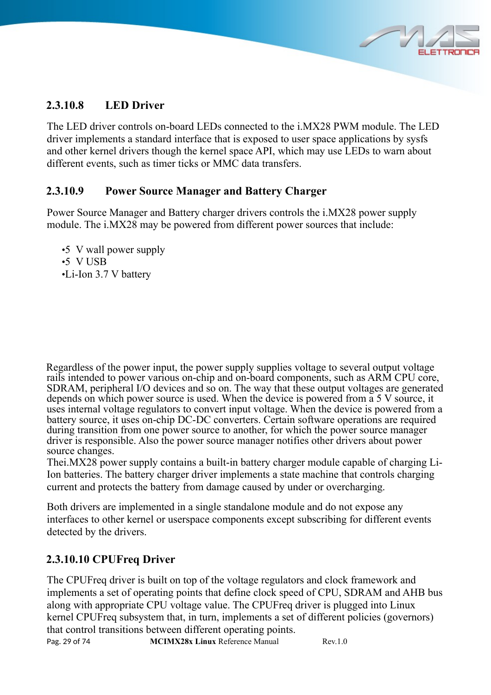

#### **2.3.10.8 LED Driver**

The LED driver controls on-board LEDs connected to the i.MX28 PWM module. The LED driver implements a standard interface that is exposed to user space applications by sysfs and other kernel drivers though the kernel space API, which may use LEDs to warn about different events, such as timer ticks or MMC data transfers.

#### **2.3.10.9 Power Source Manager and Battery Charger**

Power Source Manager and Battery charger drivers controls the i.MX28 power supply module. The i.MX28 may be powered from different power sources that include:

•5 V wall power supply •5 V USB •Li-Ion 3.7 V battery

Regardless of the power input, the power supply supplies voltage to several output voltage rails intended to power various on-chip and on-board components, such as ARM CPU core, SDRAM, peripheral I/O devices and so on. The way that these output voltages are generated depends on which power source is used. When the device is powered from a 5 V source, it uses internal voltage regulators to convert input voltage. When the device is powered from a battery source, it uses on-chip DC-DC converters. Certain software operations are required during transition from one power source to another, for which the power source manager driver is responsible. Also the power source manager notifies other drivers about power source changes.

Thei.MX28 power supply contains a built-in battery charger module capable of charging Li-Ion batteries. The battery charger driver implements a state machine that controls charging current and protects the battery from damage caused by under or overcharging.

Both drivers are implemented in a single standalone module and do not expose any interfaces to other kernel or userspace components except subscribing for different events detected by the drivers.

#### **2.3.10.10 CPUFreq Driver**

The CPUFreq driver is built on top of the voltage regulators and clock framework and implements a set of operating points that define clock speed of CPU, SDRAM and AHB bus along with appropriate CPU voltage value. The CPUFreq driver is plugged into Linux kernel CPUFreq subsystem that, in turn, implements a set of different policies (governors) that control transitions between different operating points.

Pag. 29 of 74 **MCIMX28x Linux** Reference Manual Rev.1.0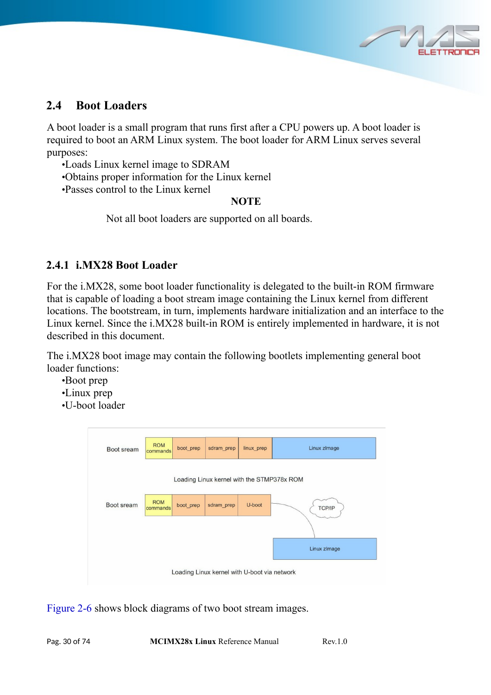

#### **2.4 Boot Loaders**

A boot loader is a small program that runs first after a CPU powers up. A boot loader is required to boot an ARM Linux system. The boot loader for ARM Linux serves several purposes:

•Loads Linux kernel image to SDRAM

•Obtains proper information for the Linux kernel

•Passes control to the Linux kernel

#### **NOTE**

Not all boot loaders are supported on all boards.

#### **2.4.1 i.MX28 Boot Loader**

For the i.MX28, some boot loader functionality is delegated to the built-in ROM firmware that is capable of loading a boot stream image containing the Linux kernel from different locations. The bootstream, in turn, implements hardware initialization and an interface to the Linux kernel. Since the i.MX28 built-in ROM is entirely implemented in hardware, it is not described in this document.

The i.MX28 boot image may contain the following bootlets implementing general boot loader functions:

•Boot prep

•Linux prep

•U-boot loader



Figure 2-6 shows block diagrams of two boot stream images.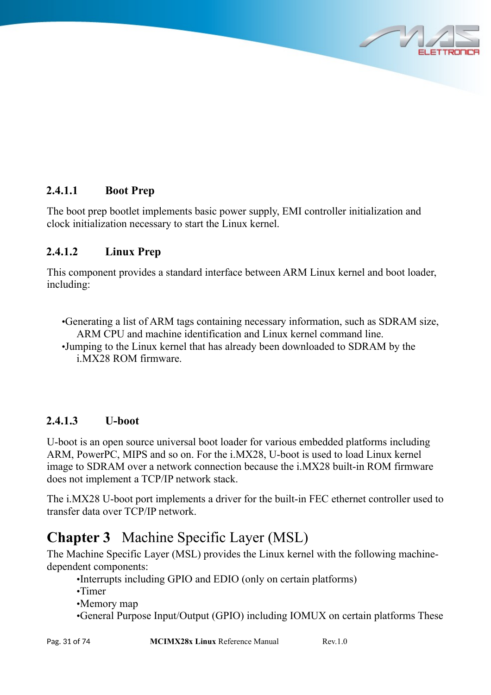## **2.4.1.1 Boot Prep**

The boot prep bootlet implements basic power supply, EMI controller initialization and clock initialization necessary to start the Linux kernel.

#### **2.4.1.2 Linux Prep**

This component provides a standard interface between ARM Linux kernel and boot loader, including:

•Generating a list of ARM tags containing necessary information, such as SDRAM size, ARM CPU and machine identification and Linux kernel command line.

•Jumping to the Linux kernel that has already been downloaded to SDRAM by the i.MX28 ROM firmware.

#### **2.4.1.3 U-boot**

U-boot is an open source universal boot loader for various embedded platforms including ARM, PowerPC, MIPS and so on. For the i.MX28, U-boot is used to load Linux kernel image to SDRAM over a network connection because the i.MX28 built-in ROM firmware does not implement a TCP/IP network stack.

The i.MX28 U-boot port implements a driver for the built-in FEC ethernet controller used to transfer data over TCP/IP network.

# <span id="page-30-0"></span>**Chapter 3** Machine Specific Layer (MSL)

The Machine Specific Layer (MSL) provides the Linux kernel with the following machinedependent components:

•Interrupts including GPIO and EDIO (only on certain platforms)

- •Timer
- •Memory map
- •General Purpose Input/Output (GPIO) including IOMUX on certain platforms These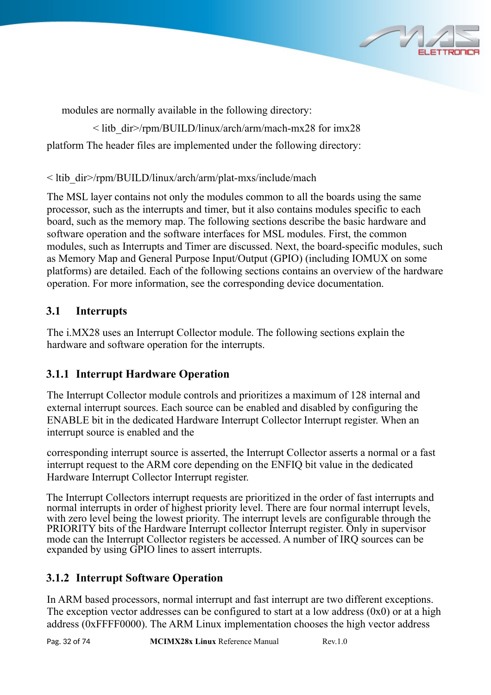

< litb\_dir>/rpm/BUILD/linux/arch/arm/mach-mx28 for imx28 platform The header files are implemented under the following directory:

#### < ltib\_dir>/rpm/BUILD/linux/arch/arm/plat-mxs/include/mach

The MSL layer contains not only the modules common to all the boards using the same processor, such as the interrupts and timer, but it also contains modules specific to each board, such as the memory map. The following sections describe the basic hardware and software operation and the software interfaces for MSL modules. First, the common modules, such as Interrupts and Timer are discussed. Next, the board-specific modules, such as Memory Map and General Purpose Input/Output (GPIO) (including IOMUX on some platforms) are detailed. Each of the following sections contains an overview of the hardware operation. For more information, see the corresponding device documentation.

## **3.1 Interrupts**

The i.MX28 uses an Interrupt Collector module. The following sections explain the hardware and software operation for the interrupts.

## **3.1.1 Interrupt Hardware Operation**

The Interrupt Collector module controls and prioritizes a maximum of 128 internal and external interrupt sources. Each source can be enabled and disabled by configuring the ENABLE bit in the dedicated Hardware Interrupt Collector Interrupt register. When an interrupt source is enabled and the

corresponding interrupt source is asserted, the Interrupt Collector asserts a normal or a fast interrupt request to the ARM core depending on the ENFIQ bit value in the dedicated Hardware Interrupt Collector Interrupt register.

The Interrupt Collectors interrupt requests are prioritized in the order of fast interrupts and normal interrupts in order of highest priority level. There are four normal interrupt levels, with zero level being the lowest priority. The interrupt levels are configurable through the PRIORITY bits of the Hardware Interrupt collector Interrupt register. Only in supervisor mode can the Interrupt Collector registers be accessed. A number of IRQ sources can be expanded by using GPIO lines to assert interrupts.

## **3.1.2 Interrupt Software Operation**

In ARM based processors, normal interrupt and fast interrupt are two different exceptions. The exception vector addresses can be configured to start at a low address  $(0x0)$  or at a high address (0xFFFF0000). The ARM Linux implementation chooses the high vector address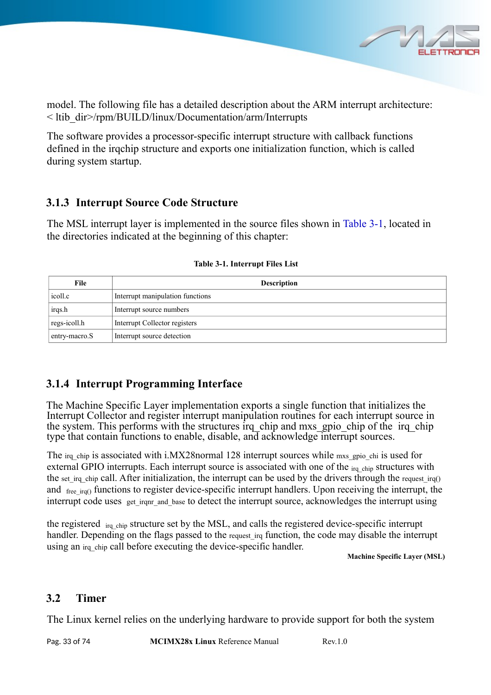

model. The following file has a detailed description about the ARM interrupt architecture: < ltib\_dir>/rpm/BUILD/linux/Documentation/arm/Interrupts

The software provides a processor-specific interrupt structure with callback functions defined in the irqchip structure and exports one initialization function, which is called during system startup.

#### **3.1.3 Interrupt Source Code Structure**

The MSL interrupt layer is implemented in the source files shown in Table 3-1, located in the directories indicated at the beginning of this chapter:

| File          | <b>Description</b>               |
|---------------|----------------------------------|
| icoll.c       | Interrupt manipulation functions |
| irqs.h        | Interrupt source numbers         |
| regs-icoll.h  | Interrupt Collector registers    |
| entry-macro.S | Interrupt source detection       |

#### **Table 3-1. Interrupt Files List**

#### **3.1.4 Interrupt Programming Interface**

The Machine Specific Layer implementation exports a single function that initializes the Interrupt Collector and register interrupt manipulation routines for each interrupt source in the system. This performs with the structures irq\_chip and mxs\_gpio\_chip of the irq\_chip type that contain functions to enable, disable, and acknowledge interrupt sources.

The irq chip is associated with i.MX28normal 128 interrupt sources while mxs gpio chi is used for external GPIO interrupts. Each interrupt source is associated with one of the <sub>irq-chip</sub> structures with the set irq chip call. After initialization, the interrupt can be used by the drivers through the request  $irq()$ and free irq() functions to register device-specific interrupt handlers. Upon receiving the interrupt, the interrupt code uses get irqnr and base to detect the interrupt source, acknowledges the interrupt using

the registered irq chip structure set by the MSL, and calls the registered device-specific interrupt handler. Depending on the flags passed to the request irq function, the code may disable the interrupt using an irq chip call before executing the device-specific handler.

**Machine Specific Layer (MSL)**

#### **3.2 Timer**

The Linux kernel relies on the underlying hardware to provide support for both the system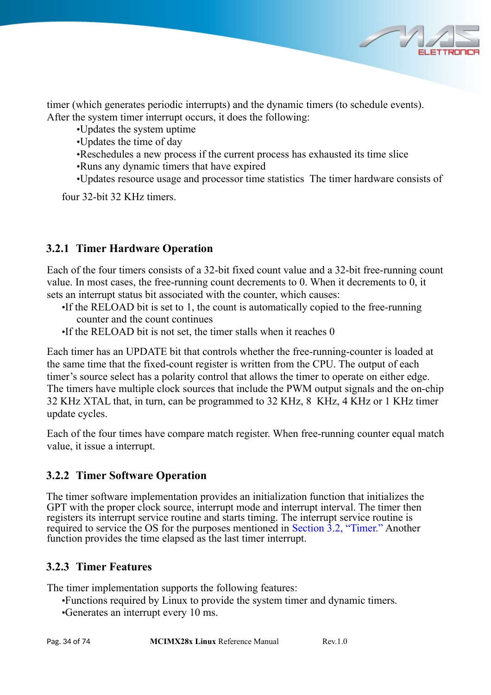

timer (which generates periodic interrupts) and the dynamic timers (to schedule events). After the system timer interrupt occurs, it does the following:

- •Updates the system uptime
- •Updates the time of day
- •Reschedules a new process if the current process has exhausted its time slice
- •Runs any dynamic timers that have expired
- •Updates resource usage and processor time statistics The timer hardware consists of

four 32-bit 32 KHz timers.

#### **3.2.1 Timer Hardware Operation**

Each of the four timers consists of a 32-bit fixed count value and a 32-bit free-running count value. In most cases, the free-running count decrements to 0. When it decrements to 0, it sets an interrupt status bit associated with the counter, which causes:

- •If the RELOAD bit is set to 1, the count is automatically copied to the free-running counter and the count continues
- •If the RELOAD bit is not set, the timer stalls when it reaches 0

Each timer has an UPDATE bit that controls whether the free-running-counter is loaded at the same time that the fixed-count register is written from the CPU. The output of each timer's source select has a polarity control that allows the timer to operate on either edge. The timers have multiple clock sources that include the PWM output signals and the on-chip 32 KHz XTAL that, in turn, can be programmed to 32 KHz, 8 KHz, 4 KHz or 1 KHz timer update cycles.

Each of the four times have compare match register. When free-running counter equal match value, it issue a interrupt.

#### **3.2.2 Timer Software Operation**

The timer software implementation provides an initialization function that initializes the GPT with the proper clock source, interrupt mode and interrupt interval. The timer then registers its interrupt service routine and starts timing. The interrupt service routine is required to service the OS for the purposes mentioned in Section 3.2, "Timer." Another function provides the time elapsed as the last timer interrupt.

#### **3.2.3 Timer Features**

The timer implementation supports the following features:

- •Functions required by Linux to provide the system timer and dynamic timers.
- •Generates an interrupt every 10 ms.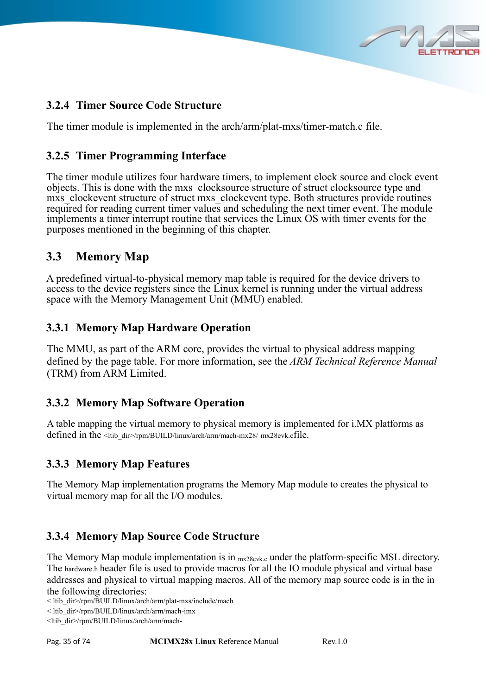#### **3.2.4 Timer Source Code Structure**

The timer module is implemented in the arch/arm/plat-mxs/timer-match.c file.

#### **3.2.5 Timer Programming Interface**

The timer module utilizes four hardware timers, to implement clock source and clock event objects. This is done with the mxs\_clocksource structure of struct clocksource type and mxs clockevent structure of struct mxs clockevent type. Both structures provide routines required for reading current timer values and scheduling the next timer event. The module implements a timer interrupt routine that services the Linux OS with timer events for the purposes mentioned in the beginning of this chapter.

## **3.3 Memory Map**

A predefined virtual-to-physical memory map table is required for the device drivers to access to the device registers since the Linux kernel is running under the virtual address space with the Memory Management Unit (MMU) enabled.

#### **3.3.1 Memory Map Hardware Operation**

The MMU, as part of the ARM core, provides the virtual to physical address mapping defined by the page table. For more information, see the *ARM Technical Reference Manual* (TRM) from ARM Limited.

#### **3.3.2 Memory Map Software Operation**

A table mapping the virtual memory to physical memory is implemented for i.MX platforms as defined in the <tib\_dir>/rpm/BUILD/linux/arch/arm/mach-mx28/ mx28evk.cfile.

#### **3.3.3 Memory Map Features**

The Memory Map implementation programs the Memory Map module to creates the physical to virtual memory map for all the I/O modules.

#### **3.3.4 Memory Map Source Code Structure**

The Memory Map module implementation is in  $_{mx28evk,c}$  under the platform-specific MSL directory. The hardware.h header file is used to provide macros for all the IO module physical and virtual base addresses and physical to virtual mapping macros. All of the memory map source code is in the in the following directories:

 $\leq$ ltib\_dir $>$ /rpm/BUILD/linux/arch/arm/plat-mxs/include/mach

 $\leq$ ltib\_dir $\geq$ /rpm/BUILD/linux/arch/arm/mach-imx

<sup>&</sup>lt;ltib\_dir>/rpm/BUILD/linux/arch/arm/mach-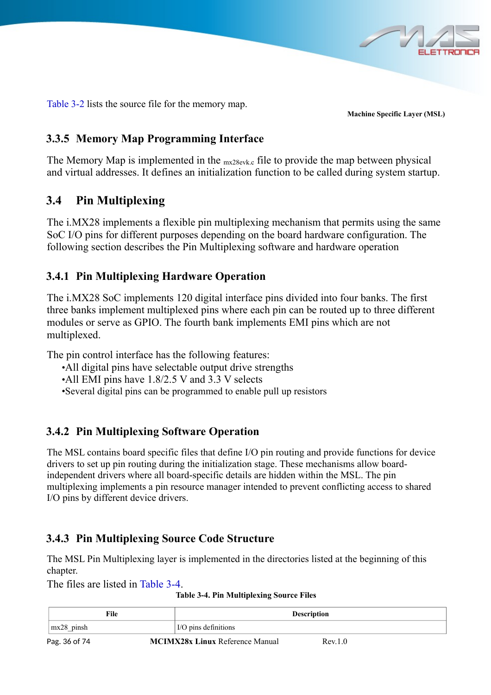

Table 3-2 lists the source file for the memory map.

**Machine Specific Layer (MSL)**

## **3.3.5 Memory Map Programming Interface**

The Memory Map is implemented in the  $_{mx28evk.c}$  file to provide the map between physical and virtual addresses. It defines an initialization function to be called during system startup.

## **3.4 Pin Multiplexing**

The i.MX28 implements a flexible pin multiplexing mechanism that permits using the same SoC I/O pins for different purposes depending on the board hardware configuration. The following section describes the Pin Multiplexing software and hardware operation

## **3.4.1 Pin Multiplexing Hardware Operation**

The i.MX28 SoC implements 120 digital interface pins divided into four banks. The first three banks implement multiplexed pins where each pin can be routed up to three different modules or serve as GPIO. The fourth bank implements EMI pins which are not multiplexed.

The pin control interface has the following features:

- •All digital pins have selectable output drive strengths
- •All EMI pins have 1.8/2.5 V and 3.3 V selects
- •Several digital pins can be programmed to enable pull up resistors

## **3.4.2 Pin Multiplexing Software Operation**

The MSL contains board specific files that define I/O pin routing and provide functions for device drivers to set up pin routing during the initialization stage. These mechanisms allow boardindependent drivers where all board-specific details are hidden within the MSL. The pin multiplexing implements a pin resource manager intended to prevent conflicting access to shared I/O pins by different device drivers.

## **3.4.3 Pin Multiplexing Source Code Structure**

The MSL Pin Multiplexing layer is implemented in the directories listed at the beginning of this chapter.

The files are listed in Table 3-4.

| File          |                                        | <b>Description</b> |  |
|---------------|----------------------------------------|--------------------|--|
| $mx28$ pinsh  | <i>VO</i> pins definitions             |                    |  |
| Pag. 36 of 74 | <b>MCIMX28x Linux Reference Manual</b> | Rev. 1.0           |  |

|  | <b>Table 3-4. Pin Multiplexing Source Files</b> |  |
|--|-------------------------------------------------|--|
|  |                                                 |  |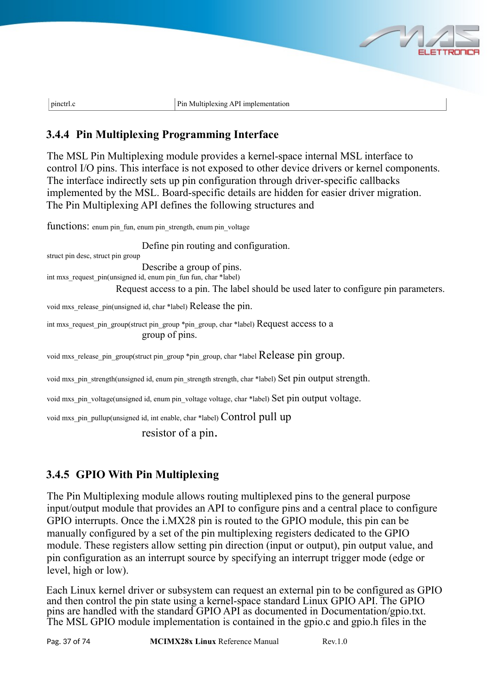pinctrl.c Pin Multiplexing API implementation

#### **3.4.4 Pin Multiplexing Programming Interface**

The MSL Pin Multiplexing module provides a kernel-space internal MSL interface to control I/O pins. This interface is not exposed to other device drivers or kernel components. The interface indirectly sets up pin configuration through driver-specific callbacks implemented by the MSL. Board-specific details are hidden for easier driver migration. The Pin Multiplexing API defines the following structures and

functions: enum pin fun, enum pin strength, enum pin voltage

Define pin routing and configuration. struct pin desc, struct pin group Describe a group of pins. int mxs request pin(unsigned id, enum pin fun fun, char \*label) Request access to a pin. The label should be used later to configure pin parameters. void mxs\_release\_pin(unsigned id, char \*label) Release the pin.

int mxs\_request\_pin\_group(struct pin\_group \*pin\_group, char \*label) Request access to a group of pins.

void mxs release pin group(struct pin group \*pin group, char \*label Release pin group.

void mxs\_pin\_strength(unsigned id, enum pin\_strength strength, char \*label) Set pin output strength.

void mxs\_pin\_voltage(unsigned id, enum pin\_voltage voltage, char \*label) Set pin output voltage.

void mxs pin pullup(unsigned id, int enable, char \*label) Control pull up

resistor of a pin.

#### **3.4.5 GPIO With Pin Multiplexing**

The Pin Multiplexing module allows routing multiplexed pins to the general purpose input/output module that provides an API to configure pins and a central place to configure GPIO interrupts. Once the i.MX28 pin is routed to the GPIO module, this pin can be manually configured by a set of the pin multiplexing registers dedicated to the GPIO module. These registers allow setting pin direction (input or output), pin output value, and pin configuration as an interrupt source by specifying an interrupt trigger mode (edge or level, high or low).

Each Linux kernel driver or subsystem can request an external pin to be configured as GPIO and then control the pin state using a kernel-space standard Linux GPIO API. The GPIO pins are handled with the standard GPIO API as documented in Documentation/gpio.txt. The MSL GPIO module implementation is contained in the gpio.c and gpio.h files in the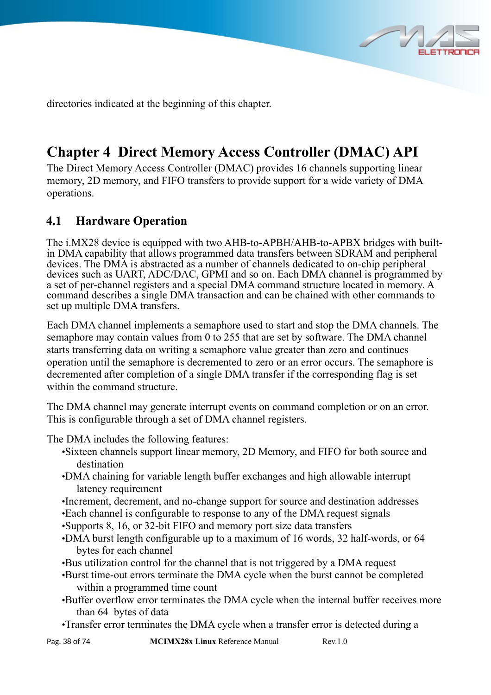

directories indicated at the beginning of this chapter.

# **Chapter 4 Direct Memory Access Controller (DMAC) API**

The Direct Memory Access Controller (DMAC) provides 16 channels supporting linear memory, 2D memory, and FIFO transfers to provide support for a wide variety of DMA operations.

### **4.1 Hardware Operation**

The i.MX28 device is equipped with two AHB-to-APBH/AHB-to-APBX bridges with builtin DMA capability that allows programmed data transfers between SDRAM and peripheral devices. The DMA is abstracted as a number of channels dedicated to on-chip peripheral devices such as UART, ADC/DAC, GPMI and so on. Each DMA channel is programmed by a set of per-channel registers and a special DMA command structure located in memory. A command describes a single DMA transaction and can be chained with other commands to set up multiple DMA transfers.

Each DMA channel implements a semaphore used to start and stop the DMA channels. The semaphore may contain values from 0 to 255 that are set by software. The DMA channel starts transferring data on writing a semaphore value greater than zero and continues operation until the semaphore is decremented to zero or an error occurs. The semaphore is decremented after completion of a single DMA transfer if the corresponding flag is set within the command structure.

The DMA channel may generate interrupt events on command completion or on an error. This is configurable through a set of DMA channel registers.

The DMA includes the following features:

- •Sixteen channels support linear memory, 2D Memory, and FIFO for both source and destination
- •DMA chaining for variable length buffer exchanges and high allowable interrupt latency requirement
- •Increment, decrement, and no-change support for source and destination addresses
- •Each channel is configurable to response to any of the DMA request signals
- •Supports 8, 16, or 32-bit FIFO and memory port size data transfers
- •DMA burst length configurable up to a maximum of 16 words, 32 half-words, or 64 bytes for each channel
- •Bus utilization control for the channel that is not triggered by a DMA request
- •Burst time-out errors terminate the DMA cycle when the burst cannot be completed within a programmed time count
- •Buffer overflow error terminates the DMA cycle when the internal buffer receives more than 64 bytes of data
- •Transfer error terminates the DMA cycle when a transfer error is detected during a

Pag. 38 of 74 **MCIMX28x Linux** Reference Manual Rev.1.0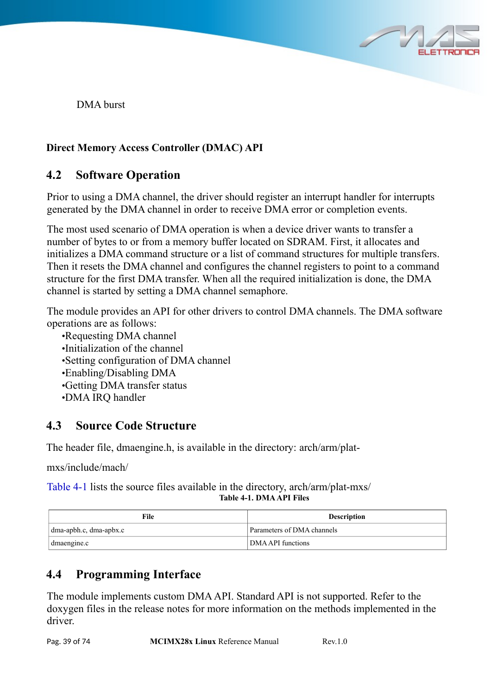

DMA burst

#### **Direct Memory Access Controller (DMAC) API**

### **4.2 Software Operation**

Prior to using a DMA channel, the driver should register an interrupt handler for interrupts generated by the DMA channel in order to receive DMA error or completion events.

The most used scenario of DMA operation is when a device driver wants to transfer a number of bytes to or from a memory buffer located on SDRAM. First, it allocates and initializes a DMA command structure or a list of command structures for multiple transfers. Then it resets the DMA channel and configures the channel registers to point to a command structure for the first DMA transfer. When all the required initialization is done, the DMA channel is started by setting a DMA channel semaphore.

The module provides an API for other drivers to control DMA channels. The DMA software operations are as follows:

- •Requesting DMA channel
- •Initialization of the channel
- •Setting configuration of DMA channel
- •Enabling/Disabling DMA
- •Getting DMA transfer status
- •DMA IRQ handler

### **4.3 Source Code Structure**

The header file, dmaengine.h, is available in the directory: arch/arm/plat-

mxs/include/mach/

Table 4-1 lists the source files available in the directory, arch/arm/plat-mxs/ **Table 4-1. DMA API Files**

| File                   | <b>Description</b>         |  |
|------------------------|----------------------------|--|
| dma-apbh.c, dma-apbx.c | Parameters of DMA channels |  |
| dmaengine.c            | DMA API functions          |  |

### **4.4 Programming Interface**

The module implements custom DMA API. Standard API is not supported. Refer to the doxygen files in the release notes for more information on the methods implemented in the driver.

Pag. 39 of 74 **MCIMX28x Linux** Reference Manual Rev.1.0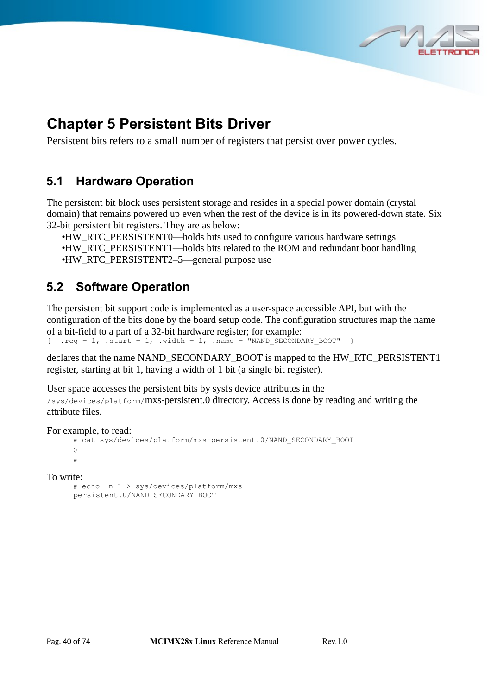

# **Chapter 5 Persistent Bits Driver**

Persistent bits refers to a small number of registers that persist over power cycles.

### **5.1 Hardware Operation**

The persistent bit block uses persistent storage and resides in a special power domain (crystal domain) that remains powered up even when the rest of the device is in its powered-down state. Six 32-bit persistent bit registers. They are as below:

•HW\_RTC\_PERSISTENT0—holds bits used to configure various hardware settings

•HW\_RTC\_PERSISTENT1—holds bits related to the ROM and redundant boot handling

•HW\_RTC\_PERSISTENT2–5—general purpose use

## **5.2 Software Operation**

The persistent bit support code is implemented as a user-space accessible API, but with the configuration of the bits done by the board setup code. The configuration structures map the name of a bit-field to a part of a 32-bit hardware register; for example:

```
\{ .req = 1, .start = 1, .width = 1, .name = "NAND SECONDARY BOOT" \}
```
declares that the name NAND\_SECONDARY\_BOOT is mapped to the HW\_RTC\_PERSISTENT1 register, starting at bit 1, having a width of 1 bit (a single bit register).

User space accesses the persistent bits by sysfs device attributes in the

/sys/devices/platform/mxs-persistent.0 directory. Access is done by reading and writing the attribute files.

For example, to read:

```
# cat sys/devices/platform/mxs-persistent.0/NAND_SECONDARY_BOOT
       \overline{0}#
To write:
```

```
# echo -n 1 > sys/devices/platform/mxs-
persistent.0/NAND SECONDARY BOOT
```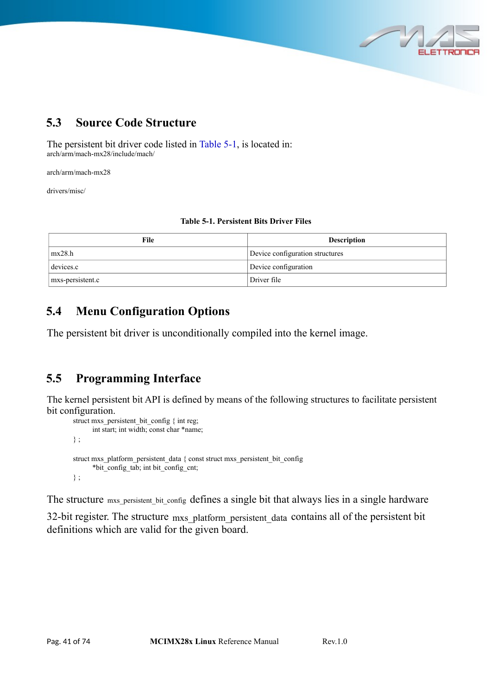

#### **5.3 Source Code Structure**

The persistent bit driver code listed in Table 5-1, is located in: arch/arm/mach-mx28/include/mach/

arch/arm/mach-mx28

drivers/misc/

#### **Table 5-1. Persistent Bits Driver Files**

| <b>File</b>      | <b>Description</b>              |
|------------------|---------------------------------|
| mx28.h           | Device configuration structures |
| devices.c        | Device configuration            |
| mxs-persistent.c | Driver file                     |

#### **5.4 Menu Configuration Options**

The persistent bit driver is unconditionally compiled into the kernel image.

### **5.5 Programming Interface**

The kernel persistent bit API is defined by means of the following structures to facilitate persistent bit configuration.

```
struct mxs_persistent_bit_config { int reg;
      int start; int width; const char *name;
} ;
struct mxs_platform_persistent_data { const struct mxs_persistent_bit_config
      *bit_config_tab; int bit_config_cnt;
} ;
```
The structure mxs\_persistent\_bit\_config defines a single bit that always lies in a single hardware

32-bit register. The structure mxs platform persistent data contains all of the persistent bit definitions which are valid for the given board.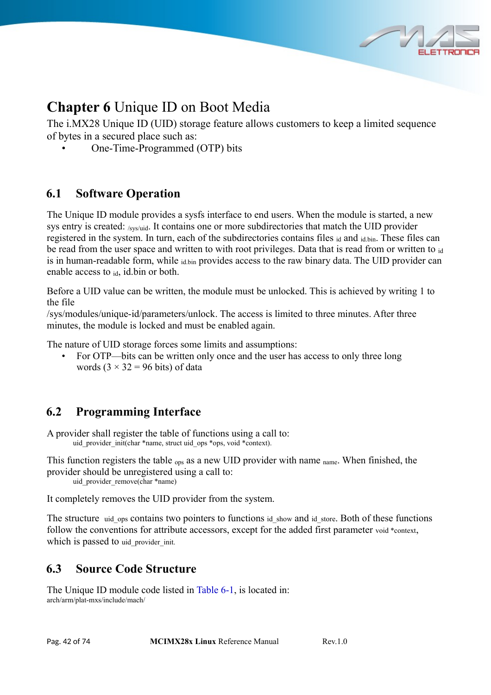

# **Chapter 6** Unique ID on Boot Media

The i.MX28 Unique ID (UID) storage feature allows customers to keep a limited sequence of bytes in a secured place such as:

• One-Time-Programmed (OTP) bits

#### **6.1 Software Operation**

The Unique ID module provides a sysfs interface to end users. When the module is started, a new sys entry is created:  $\frac{1}{s}$  is contains one or more subdirectories that match the UID provider registered in the system. In turn, each of the subdirectories contains files id and id.bin. These files can be read from the user space and written to with root privileges. Data that is read from or written to id is in human-readable form, while <sub>id.bin</sub> provides access to the raw binary data. The UID provider can enable access to <sub>id</sub>, id.bin or both.

Before a UID value can be written, the module must be unlocked. This is achieved by writing 1 to the file

/sys/modules/unique-id/parameters/unlock. The access is limited to three minutes. After three minutes, the module is locked and must be enabled again.

The nature of UID storage forces some limits and assumptions:

• For OTP—bits can be written only once and the user has access to only three long words  $(3 \times 32 = 96$  bits) of data

## **6.2 Programming Interface**

A provider shall register the table of functions using a call to: uid provider init(char \*name, struct uid ops \*ops, void \*context).

This function registers the table <sub>ops</sub> as a new UID provider with name <sub>name</sub>. When finished, the provider should be unregistered using a call to: uid provider remove(char \*name)

It completely removes the UID provider from the system.

The structure uid ops contains two pointers to functions id show and id store. Both of these functions follow the conventions for attribute accessors, except for the added first parameter void \*context, which is passed to uid provider init.

#### **6.3 Source Code Structure**

The Unique ID module code listed in Table 6-1, is located in: arch/arm/plat-mxs/include/mach/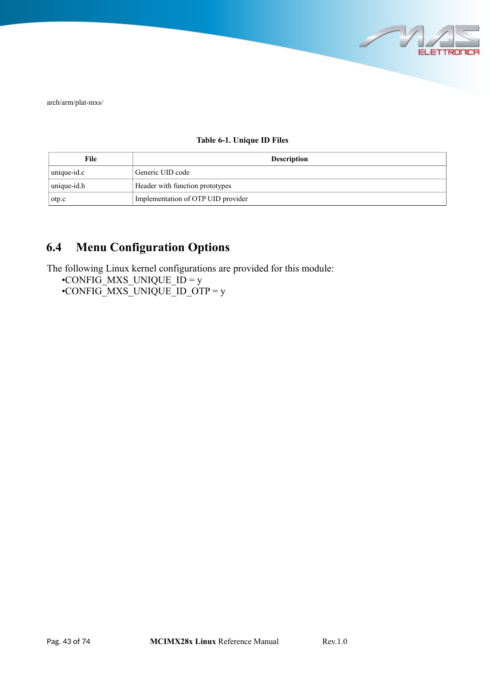

arch/arm/plat-mxs/

#### **Table 6-1. Unique ID Files**

| File          | <b>Description</b>                 |
|---------------|------------------------------------|
| unique-id.c   | Generic UID code                   |
| unique-id.h   | Header with function prototypes    |
| $\circ$ otp.c | Implementation of OTP UID provider |

### **6.4 Menu Configuration Options**

The following Linux kernel configurations are provided for this module:

 $\cdot$ CONFIG\_MXS\_UNIQUE\_ID = y

 $\cdot$ CONFIG\_MXS\_UNIQUE\_ID\_OTP = y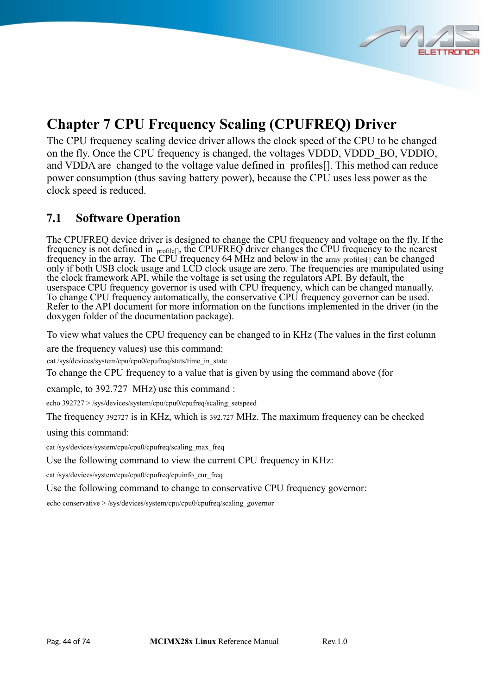

# **Chapter 7 CPU Frequency Scaling (CPUFREQ) Driver**

The CPU frequency scaling device driver allows the clock speed of the CPU to be changed on the fly. Once the CPU frequency is changed, the voltages VDDD, VDDD BO, VDDIO, and VDDA are changed to the voltage value defined in profiles[]. This method can reduce power consumption (thus saving battery power), because the CPU uses less power as the clock speed is reduced.

#### **7.1 Software Operation**

The CPUFREQ device driver is designed to change the CPU frequency and voltage on the fly. If the frequency is not defined in profile<sup>[]</sup>, the CPUFREQ driver changes the CPU frequency to the nearest frequency in the array. The CPU frequency 64 MHz and below in the array profiles[] can be changed only if both USB clock usage and LCD clock usage are zero. The frequencies are manipulated using the clock framework API, while the voltage is set using the regulators API. By default, the userspace CPU frequency governor is used with CPU frequency, which can be changed manually. To change CPU frequency automatically, the conservative CPU frequency governor can be used. Refer to the API document for more information on the functions implemented in the driver (in the doxygen folder of the documentation package).

To view what values the CPU frequency can be changed to in KHz (The values in the first column

are the frequency values) use this command:

cat /sys/devices/system/cpu/cpu0/cpufreq/stats/time\_in\_state

To change the CPU frequency to a value that is given by using the command above (for

example, to 392.727 MHz) use this command :

echo 392727 > /sys/devices/system/cpu/cpu0/cpufreq/scaling\_setspeed

The frequency 392727 is in KHz, which is 392.727 MHz. The maximum frequency can be checked

using this command:

cat /sys/devices/system/cpu/cpu0/cpufreq/scaling\_max\_freq

Use the following command to view the current CPU frequency in KHz:

cat /sys/devices/system/cpu/cpu0/cpufreq/cpuinfo\_cur\_freq

Use the following command to change to conservative CPU frequency governor:

echo conservative > /sys/devices/system/cpu/cpu0/cpufreq/scaling\_governor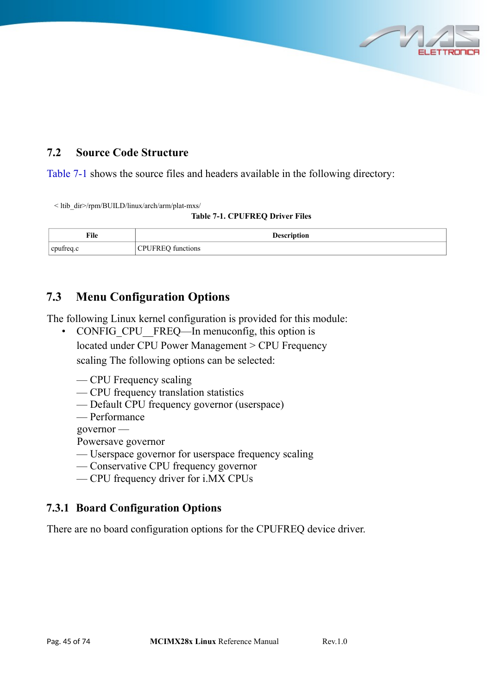

#### **7.2 Source Code Structure**

Table 7-1 shows the source files and headers available in the following directory:

< ltib\_dir>/rpm/BUILD/linux/arch/arm/plat-mxs/

**Table 7-1. CPUFREQ Driver Files**

| File      | Description       |
|-----------|-------------------|
| cputreq.c | CPUFREQ functions |

### **7.3 Menu Configuration Options**

The following Linux kernel configuration is provided for this module:

• CONFIG CPU FREQ—In menuconfig, this option is

located under CPU Power Management > CPU Frequency

scaling The following options can be selected:

— CPU Frequency scaling

- CPU frequency translation statistics
- Default CPU frequency governor (userspace)

— Performance

governor —

Powersave governor

- Userspace governor for userspace frequency scaling
- Conservative CPU frequency governor
- CPU frequency driver for i.MX CPUs

#### **7.3.1 Board Configuration Options**

There are no board configuration options for the CPUFREQ device driver.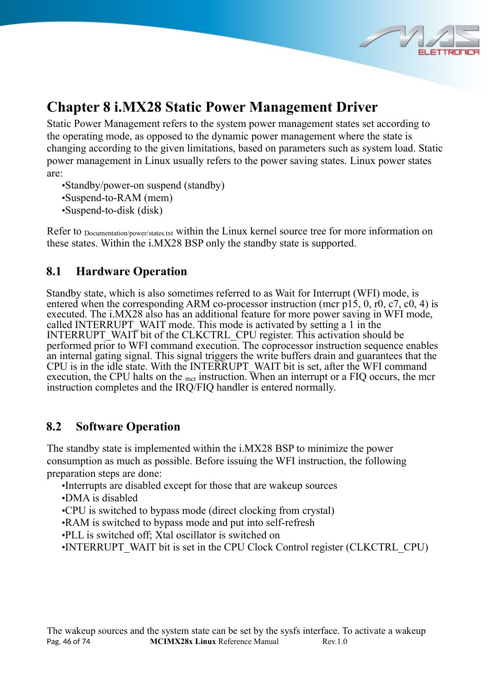

# **Chapter 8 i.MX28 Static Power Management Driver**

Static Power Management refers to the system power management states set according to the operating mode, as opposed to the dynamic power management where the state is changing according to the given limitations, based on parameters such as system load. Static power management in Linux usually refers to the power saving states. Linux power states are:

- •Standby/power-on suspend (standby)
- •Suspend-to-RAM (mem)
- •Suspend-to-disk (disk)

Refer to Documentation/power/states.txt within the Linux kernel source tree for more information on these states. Within the i.MX28 BSP only the standby state is supported.

#### **8.1 Hardware Operation**

Standby state, which is also sometimes referred to as Wait for Interrupt (WFI) mode, is entered when the corresponding ARM co-processor instruction (mcr  $p15$ , 0, r0, c7, c0, 4) is executed. The i.MX28 also has an additional feature for more power saving in WFI mode, called INTERRUPT WAIT mode. This mode is activated by setting a 1 in the INTERRUPT WAIT bit of the CLKCTRL CPU register. This activation should be performed prior to WFI command execution. The coprocessor instruction sequence enables an internal gating signal. This signal triggers the write buffers drain and guarantees that the CPU is in the idle state. With the INTERRUPT\_WAIT bit is set, after the WFI command execution, the CPU halts on the  $_{\text{mer}}$  instruction. When an interrupt or a FIQ occurs, the mcr instruction completes and the IRQ/FIQ handler is entered normally.

#### **8.2 Software Operation**

The standby state is implemented within the i.MX28 BSP to minimize the power consumption as much as possible. Before issuing the WFI instruction, the following preparation steps are done:

- •Interrupts are disabled except for those that are wakeup sources
- •DMA is disabled
- •CPU is switched to bypass mode (direct clocking from crystal)
- •RAM is switched to bypass mode and put into self-refresh
- •PLL is switched off; Xtal oscillator is switched on
- •INTERRUPT WAIT bit is set in the CPU Clock Control register (CLKCTRL CPU)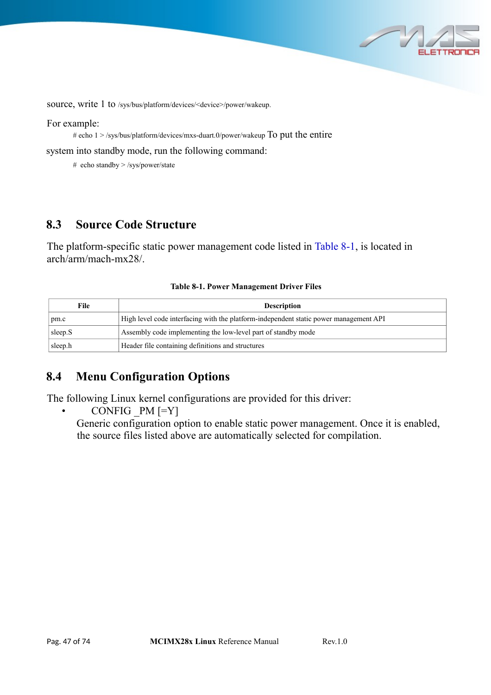

source, write 1 to /sys/bus/platform/devices/<device>/power/wakeup.

For example:

# echo 1 > /sys/bus/platform/devices/mxs-duart.0/power/wakeup To put the entire system into standby mode, run the following command:

# echo standby > /sys/power/state

#### **8.3 Source Code Structure**

The platform-specific static power management code listed in Table 8-1, is located in arch/arm/mach-mx28/.

#### **Table 8-1. Power Management Driver Files**

| <b>File</b> | <b>Description</b>                                                                    |  |
|-------------|---------------------------------------------------------------------------------------|--|
| pm.c        | High level code interfacing with the platform-independent static power management API |  |
| sleep.S     | Assembly code implementing the low-level part of standby mode                         |  |
| sleep.h     | Header file containing definitions and structures                                     |  |

### **8.4 Menu Configuration Options**

The following Linux kernel configurations are provided for this driver:

• CONFIG  $PM$   $[=Y]$ 

Generic configuration option to enable static power management. Once it is enabled, the source files listed above are automatically selected for compilation.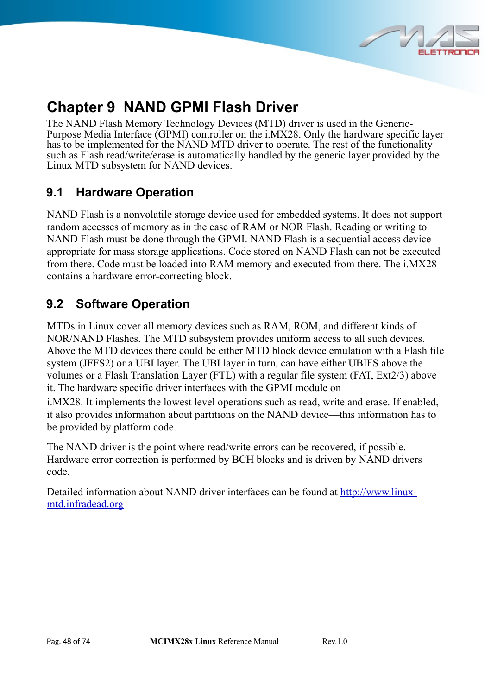# **Chapter 9 NAND GPMI Flash Driver**

The NAND Flash Memory Technology Devices (MTD) driver is used in the Generic-Purpose Media Interface (GPMI) controller on the i.MX28. Only the hardware specific layer has to be implemented for the NAND MTD driver to operate. The rest of the functionality such as Flash read/write/erase is automatically handled by the generic layer provided by the Linux MTD subsystem for NAND devices.

## **9.1 Hardware Operation**

NAND Flash is a nonvolatile storage device used for embedded systems. It does not support random accesses of memory as in the case of RAM or NOR Flash. Reading or writing to NAND Flash must be done through the GPMI. NAND Flash is a sequential access device appropriate for mass storage applications. Code stored on NAND Flash can not be executed from there. Code must be loaded into RAM memory and executed from there. The i.MX28 contains a hardware error-correcting block.

## **9.2 Software Operation**

MTDs in Linux cover all memory devices such as RAM, ROM, and different kinds of NOR/NAND Flashes. The MTD subsystem provides uniform access to all such devices. Above the MTD devices there could be either MTD block device emulation with a Flash file system (JFFS2) or a UBI layer. The UBI layer in turn, can have either UBIFS above the volumes or a Flash Translation Layer (FTL) with a regular file system (FAT, Ext2/3) above it. The hardware specific driver interfaces with the GPMI module on

i.MX28. It implements the lowest level operations such as read, write and erase. If enabled, it also provides information about partitions on the NAND device—this information has to be provided by platform code.

The NAND driver is the point where read/write errors can be recovered, if possible. Hardware error correction is performed by BCH blocks and is driven by NAND drivers code.

Detailed information about NAND driver interfaces can be found at [http://www.linux](http://www.linux-mtd.infradead.org/)[mtd.infradead.org](http://www.linux-mtd.infradead.org/)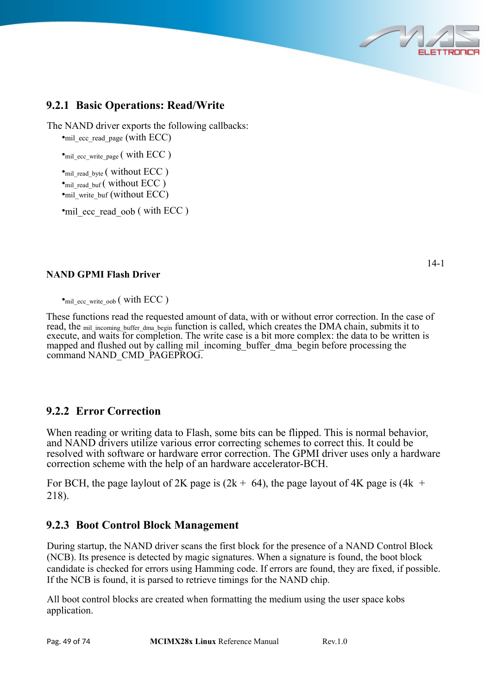#### **9.2.1 Basic Operations: Read/Write**

The NAND driver exports the following callbacks: •mil ecc read page (with ECC)

 $\bullet$ mil ecc write page ( with ECC )

 $\bullet$ mil\_read\_byte ( without ECC )  $\bullet$ mil\_read\_buf ( without ECC ) •mil\_write\_buf (without ECC)

•mil ecc read oob ( with ECC )

#### **NAND GPMI Flash Driver**

14-1

•mil ecc write oob ( with ECC )

These functions read the requested amount of data, with or without error correction. In the case of read, the mil\_incoming\_buffer\_dma\_begin function is called, which creates the DMA chain, submits it to execute, and waits for completion. The write case is a bit more complex: the data to be written is mapped and flushed out by calling mil incoming buffer dma begin before processing the command NAND\_CMD\_PAGEPROG.

#### **9.2.2 Error Correction**

When reading or writing data to Flash, some bits can be flipped. This is normal behavior, and NAND drivers utilize various error correcting schemes to correct this. It could be resolved with software or hardware error correction. The GPMI driver uses only a hardware correction scheme with the help of an hardware accelerator-BCH.

For BCH, the page laylout of 2K page is  $(2k + 64)$ , the page layout of 4K page is  $(4k +$ 218).

#### **9.2.3 Boot Control Block Management**

During startup, the NAND driver scans the first block for the presence of a NAND Control Block (NCB). Its presence is detected by magic signatures. When a signature is found, the boot block candidate is checked for errors using Hamming code. If errors are found, they are fixed, if possible. If the NCB is found, it is parsed to retrieve timings for the NAND chip.

All boot control blocks are created when formatting the medium using the user space kobs application.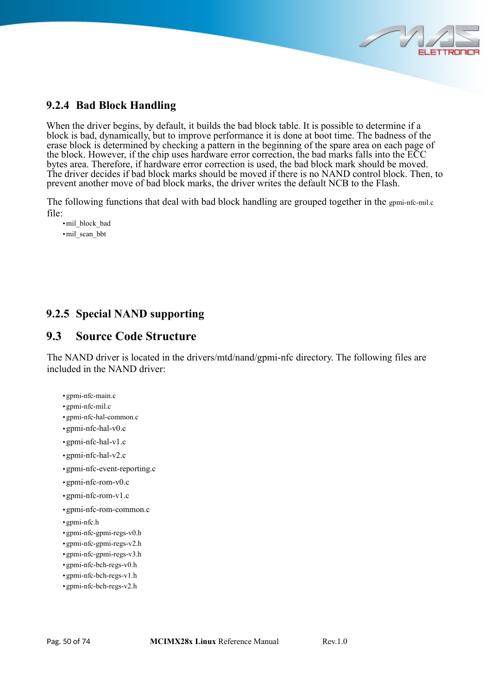

#### **9.2.4 Bad Block Handling**

When the driver begins, by default, it builds the bad block table. It is possible to determine if a block is bad, dynamically, but to improve performance it is done at boot time. The badness of the erase block is determined by checking a pattern in the beginning of the spare area on each page of the block. However, if the chip uses hardware error correction, the bad marks falls into the ECC bytes area. Therefore, if hardware error correction is used, the bad block mark should be moved. The driver decides if bad block marks should be moved if there is no NAND control block. Then, to prevent another move of bad block marks, the driver writes the default NCB to the Flash.

The following functions that deal with bad block handling are grouped together in the gpmi-nfc-mil.c file:

•mil\_block\_bad •mil\_scan\_bbt

#### **9.2.5 Special NAND supporting**

#### **9.3 Source Code Structure**

The NAND driver is located in the drivers/mtd/nand/gpmi-nfc directory. The following files are included in the NAND driver:

- •gpmi-nfc-main.c
- •gpmi-nfc-mil.c
- •gpmi-nfc-hal-common.c
- •gpmi-nfc-hal-v0.c
- •gpmi-nfc-hal-v1.c
- •gpmi-nfc-hal-v2.c
- •gpmi-nfc-event-reporting.c
- •gpmi-nfc-rom-v0.c
- •gpmi-nfc-rom-v1.c
- •gpmi-nfc-rom-common.c
- •gpmi-nfc.h
- •gpmi-nfc-gpmi-regs-v0.h
- •gpmi-nfc-gpmi-regs-v2.h
- •gpmi-nfc-gpmi-regs-v3.h
- •gpmi-nfc-bch-regs-v0.h
- •gpmi-nfc-bch-regs-v1.h
- •gpmi-nfc-bch-regs-v2.h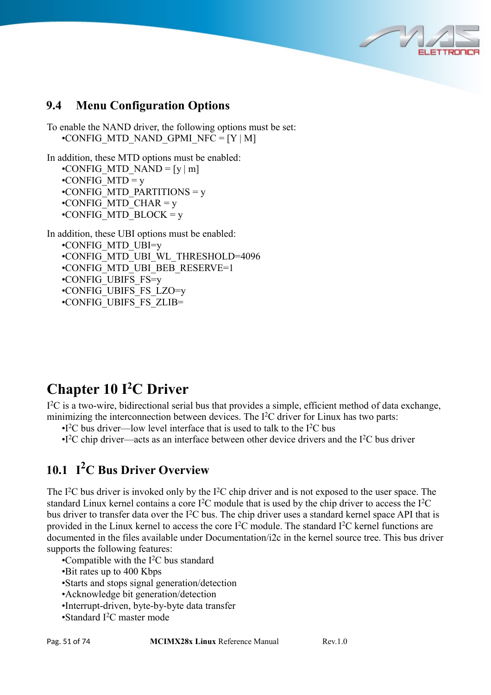#### **9.4 Menu Configuration Options**

To enable the NAND driver, the following options must be set: •CONFIG MTD NAND GPMI NFC =  $[Y | M]$ 

In addition, these MTD options must be enabled: •CONFIG MTD NAND =  $[v | m]$  $\cdot$ CONFIG MTD = y •CONFIG MTD PARTITIONS  $= y$ •CONFIG MTD CHAR  $= y$ •CONFIG MTD BLOCK =  $v$ 

In addition, these UBI options must be enabled: •CONFIG\_MTD\_UBI=y •CONFIG\_MTD\_UBI\_WL\_THRESHOLD=4096 •CONFIG\_MTD\_UBI\_BEB\_RESERVE=1 •CONFIG\_UBIFS\_FS=y •CONFIG\_UBIFS\_FS\_LZO=y •CONFIG\_UBIFS\_FS\_ZLIB=

# **Chapter 10 I<sup>2</sup>C Driver**

I <sup>2</sup>C is a two-wire, bidirectional serial bus that provides a simple, efficient method of data exchange, minimizing the interconnection between devices. The I<sup>2</sup>C driver for Linux has two parts:

 $\cdot$ I<sup>2</sup>C bus driver—low level interface that is used to talk to the I<sup>2</sup>C bus

 $\cdot$ I<sup>2</sup>C chip driver—acts as an interface between other device drivers and the I<sup>2</sup>C bus driver

# **10.1 I <sup>2</sup>C Bus Driver Overview**

The I<sup>2</sup>C bus driver is invoked only by the I<sup>2</sup>C chip driver and is not exposed to the user space. The standard Linux kernel contains a core I<sup>2</sup>C module that is used by the chip driver to access the I<sup>2</sup>C bus driver to transfer data over the I<sup>2</sup>C bus. The chip driver uses a standard kernel space API that is provided in the Linux kernel to access the core  $I^2C$  module. The standard  $I^2C$  kernel functions are documented in the files available under Documentation/i2c in the kernel source tree. This bus driver supports the following features:

- •Compatible with the  $I<sup>2</sup>C$  bus standard
- •Bit rates up to 400 Kbps
- •Starts and stops signal generation/detection
- •Acknowledge bit generation/detection
- •Interrupt-driven, byte-by-byte data transfer
- •Standard I<sup>2</sup>C master mode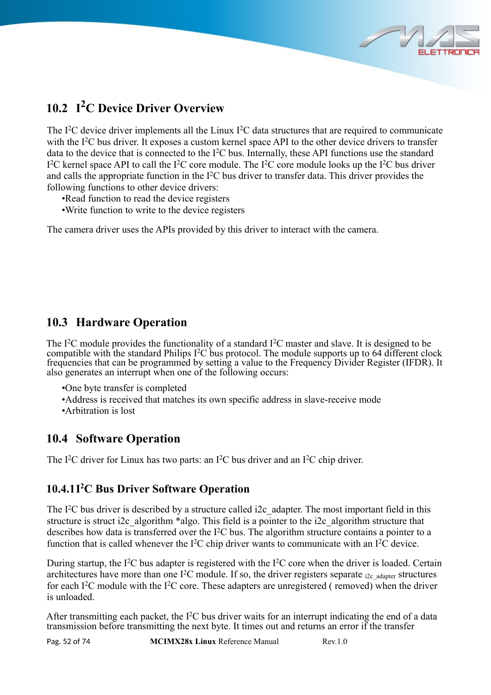

# **10.2 I <sup>2</sup>C Device Driver Overview**

The I<sup>2</sup>C device driver implements all the Linux I<sup>2</sup>C data structures that are required to communicate with the I<sup>2</sup>C bus driver. It exposes a custom kernel space API to the other device drivers to transfer data to the device that is connected to the I<sup>2</sup>C bus. Internally, these API functions use the standard I<sup>2</sup>C kernel space API to call the I<sup>2</sup>C core module. The I<sup>2</sup>C core module looks up the I<sup>2</sup>C bus driver and calls the appropriate function in the I<sup>2</sup>C bus driver to transfer data. This driver provides the following functions to other device drivers:

- •Read function to read the device registers
- •Write function to write to the device registers

The camera driver uses the APIs provided by this driver to interact with the camera.

#### **10.3 Hardware Operation**

The I<sup>2</sup>C module provides the functionality of a standard I<sup>2</sup>C master and slave. It is designed to be compatible with the standard Philips  $I^2C$  bus protocol. The module supports up to 64 different clock frequencies that can be programmed by setting a value to the Frequency Divider Register (IFDR). It also generates an interrupt when one of the following occurs:

- •One byte transfer is completed
- •Address is received that matches its own specific address in slave-receive mode
- •Arbitration is lost

### **10.4 Software Operation**

The I<sup>2</sup>C driver for Linux has two parts: an I<sup>2</sup>C bus driver and an I<sup>2</sup>C chip driver.

#### **10.4.1I <sup>2</sup>C Bus Driver Software Operation**

The I<sup>2</sup>C bus driver is described by a structure called i2c adapter. The most important field in this structure is struct i2c\_algorithm \*algo. This field is a pointer to the i2c\_algorithm structure that describes how data is transferred over the I<sup>2</sup>C bus. The algorithm structure contains a pointer to a function that is called whenever the I<sup>2</sup>C chip driver wants to communicate with an I<sup>2</sup>C device.

During startup, the I<sup>2</sup>C bus adapter is registered with the I<sup>2</sup>C core when the driver is loaded. Certain architectures have more than one I<sup>2</sup>C module. If so, the driver registers separate  $i_{2c}$  adapter structures for each I<sup>2</sup>C module with the I<sup>2</sup>C core. These adapters are unregistered ( removed) when the driver is unloaded.

After transmitting each packet, the  $I^2C$  bus driver waits for an interrupt indicating the end of a data transmission before transmitting the next byte. It times out and returns an error if the transfer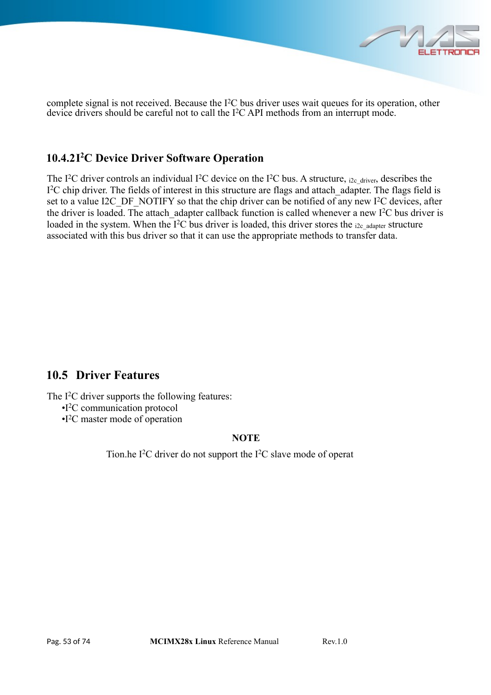

complete signal is not received. Because the I<sup>2</sup>C bus driver uses wait queues for its operation, other device drivers should be careful not to call the I<sup>2</sup>C API methods from an interrupt mode.

#### **10.4.2I <sup>2</sup>C Device Driver Software Operation**

The I<sup>2</sup>C driver controls an individual I<sup>2</sup>C device on the I<sup>2</sup>C bus. A structure, <sub>i2c driver</sub>, describes the I<sup>2</sup>C chip driver. The fields of interest in this structure are flags and attach\_adapter. The flags field is set to a value I2C\_DF\_NOTIFY so that the chip driver can be notified of any new I<sup>2</sup>C devices, after the driver is loaded. The attach adapter callback function is called whenever a new I<sup>2</sup>C bus driver is loaded in the system. When the I<sup>2</sup>C bus driver is loaded, this driver stores the <sub>i2c adapter</sub> structure associated with this bus driver so that it can use the appropriate methods to transfer data.

#### **10.5 Driver Features**

The I<sup>2</sup>C driver supports the following features:

•I <sup>2</sup>C communication protocol

•I <sup>2</sup>C master mode of operation

#### **NOTE**

Tion.he I<sup>2</sup>C driver do not support the I<sup>2</sup>C slave mode of operat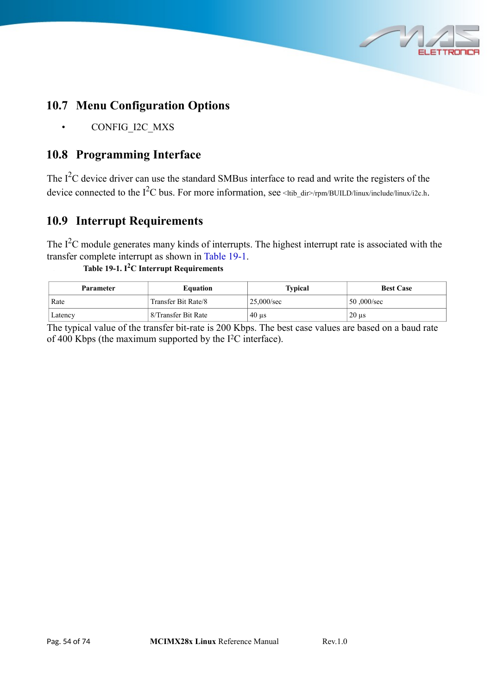

#### **10.7 Menu Configuration Options**

• CONFIG\_I2C\_MXS

#### **10.8 Programming Interface**

The I<sup>2</sup>C device driver can use the standard SMBus interface to read and write the registers of the device connected to the I<sup>2</sup>C bus. For more information, see <tib  $\frac{div}{\text{Tr}}$  Multipl/linux/include/linux/i2c.h.

#### **10.9 Interrupt Requirements**

The  $I<sup>2</sup>C$  module generates many kinds of interrupts. The highest interrupt rate is associated with the transfer complete interrupt as shown in Table 19-1.

#### . **Table 19-1. I2C Interrupt Requirements**

| Parameter | <b>Equation</b>                  | Typical                  | <b>Best Case</b>         |
|-----------|----------------------------------|--------------------------|--------------------------|
| Rate      | Transfer Bit Rate/8              | 25,000/sec               | 50,000/sec               |
| Latency   | <sup>1</sup> 8/Transfer Bit Rate | $40 \text{ }\mu\text{s}$ | $20 \text{ }\mu\text{s}$ |

The typical value of the transfer bit-rate is 200 Kbps. The best case values are based on a baud rate of 400 Kbps (the maximum supported by the I<sup>2</sup>C interface).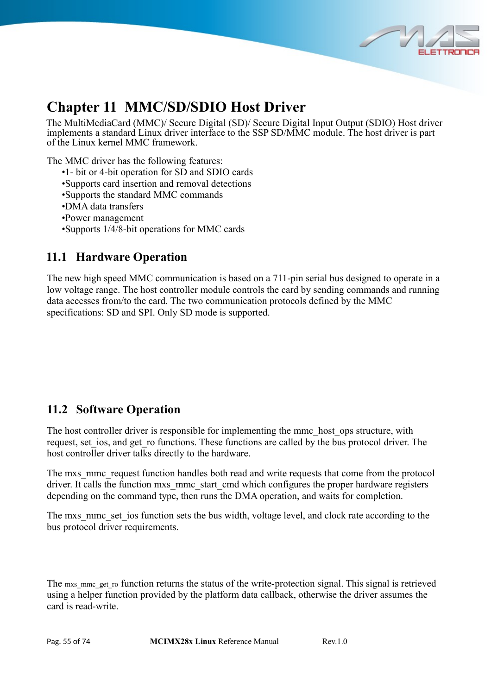

# **Chapter 11 MMC/SD/SDIO Host Driver**

The MultiMediaCard (MMC)/ Secure Digital (SD)/ Secure Digital Input Output (SDIO) Host driver implements a standard Linux driver interface to the SSP SD/MMC module. The host driver is part of the Linux kernel MMC framework.

The MMC driver has the following features:

- •1- bit or 4-bit operation for SD and SDIO cards
- •Supports card insertion and removal detections
- •Supports the standard MMC commands
- •DMA data transfers
- •Power management
- •Supports 1/4/8-bit operations for MMC cards

#### **11.1 Hardware Operation**

The new high speed MMC communication is based on a 711-pin serial bus designed to operate in a low voltage range. The host controller module controls the card by sending commands and running data accesses from/to the card. The two communication protocols defined by the MMC specifications: SD and SPI. Only SD mode is supported.

### **11.2 Software Operation**

The host controller driver is responsible for implementing the mmc host ops structure, with request, set ios, and get ro functions. These functions are called by the bus protocol driver. The host controller driver talks directly to the hardware.

The mxs\_mmc\_request function handles both read and write requests that come from the protocol driver. It calls the function mxs\_mmc\_start\_cmd which configures the proper hardware registers depending on the command type, then runs the DMA operation, and waits for completion.

The mxs mmc set ios function sets the bus width, voltage level, and clock rate according to the bus protocol driver requirements.

The mxs mmc get ro function returns the status of the write-protection signal. This signal is retrieved using a helper function provided by the platform data callback, otherwise the driver assumes the card is read-write.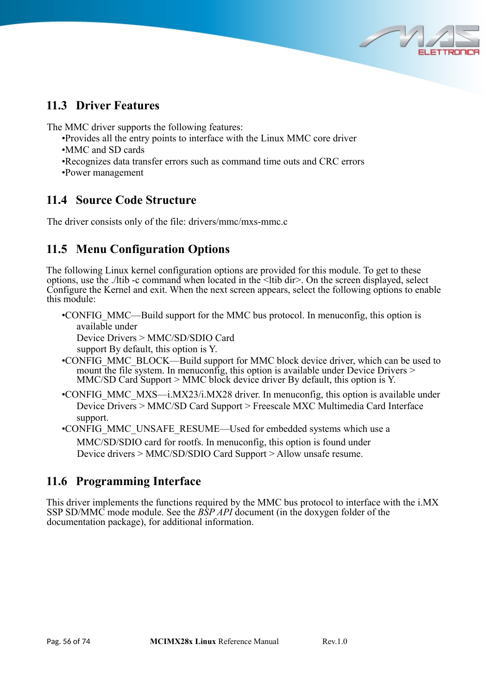

#### **11.3 Driver Features**

The MMC driver supports the following features:

- •Provides all the entry points to interface with the Linux MMC core driver
- •MMC and SD cards
- •Recognizes data transfer errors such as command time outs and CRC errors
- •Power management

#### **11.4 Source Code Structure**

The driver consists only of the file: drivers/mmc/mxs-mmc.c

### **11.5 Menu Configuration Options**

The following Linux kernel configuration options are provided for this module. To get to these options, use the ./ltib -c command when located in the <ltib dir>. On the screen displayed, select Configure the Kernel and exit. When the next screen appears, select the following options to enable this module:

•CONFIG MMC—Build support for the MMC bus protocol. In menuconfig, this option is available under

Device Drivers > MMC/SD/SDIO Card

support By default, this option is Y.

- •CONFIG\_MMC\_BLOCK—Build support for MMC block device driver, which can be used to mount the file system. In menuconfig, this option is available under Device Drivers > MMC/SD Card Support > MMC block device driver By default, this option is Y.
- •CONFIG MMC MXS—i.MX23/i.MX28 driver. In menuconfig, this option is available under Device Drivers > MMC/SD Card Support > Freescale MXC Multimedia Card Interface support.
- •CONFIG\_MMC\_UNSAFE\_RESUME—Used for embedded systems which use a

MMC/SD/SDIO card for rootfs. In menuconfig, this option is found under Device drivers > MMC/SD/SDIO Card Support > Allow unsafe resume.

#### **11.6 Programming Interface**

This driver implements the functions required by the MMC bus protocol to interface with the i.MX SSP SD/MMC mode module. See the *BSP API* document (in the doxygen folder of the documentation package), for additional information.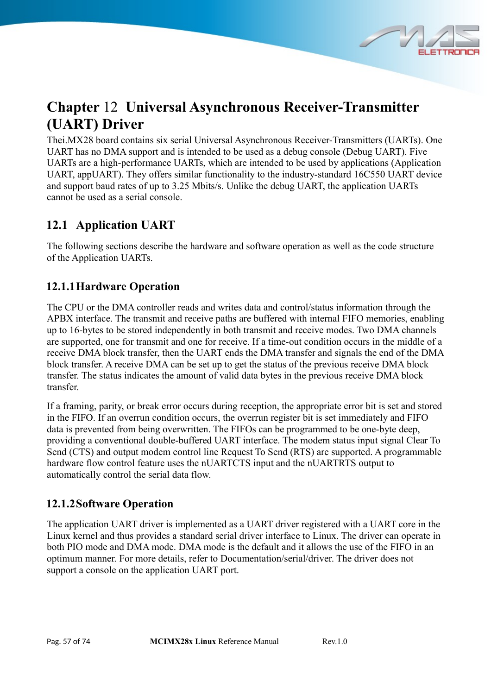

# **Chapter** 12 **Universal Asynchronous Receiver-Transmitter (UART) Driver**

Thei.MX28 board contains six serial Universal Asynchronous Receiver-Transmitters (UARTs). One UART has no DMA support and is intended to be used as a debug console (Debug UART). Five UARTs are a high-performance UARTs, which are intended to be used by applications (Application UART, appUART). They offers similar functionality to the industry-standard 16C550 UART device and support baud rates of up to 3.25 Mbits/s. Unlike the debug UART, the application UARTs cannot be used as a serial console.

### **12.1 Application UART**

The following sections describe the hardware and software operation as well as the code structure of the Application UARTs.

#### **12.1.1Hardware Operation**

The CPU or the DMA controller reads and writes data and control/status information through the APBX interface. The transmit and receive paths are buffered with internal FIFO memories, enabling up to 16-bytes to be stored independently in both transmit and receive modes. Two DMA channels are supported, one for transmit and one for receive. If a time-out condition occurs in the middle of a receive DMA block transfer, then the UART ends the DMA transfer and signals the end of the DMA block transfer. A receive DMA can be set up to get the status of the previous receive DMA block transfer. The status indicates the amount of valid data bytes in the previous receive DMA block transfer.

If a framing, parity, or break error occurs during reception, the appropriate error bit is set and stored in the FIFO. If an overrun condition occurs, the overrun register bit is set immediately and FIFO data is prevented from being overwritten. The FIFOs can be programmed to be one-byte deep, providing a conventional double-buffered UART interface. The modem status input signal Clear To Send (CTS) and output modem control line Request To Send (RTS) are supported. A programmable hardware flow control feature uses the nUARTCTS input and the nUARTRTS output to automatically control the serial data flow.

#### **12.1.2Software Operation**

The application UART driver is implemented as a UART driver registered with a UART core in the Linux kernel and thus provides a standard serial driver interface to Linux. The driver can operate in both PIO mode and DMA mode. DMA mode is the default and it allows the use of the FIFO in an optimum manner. For more details, refer to Documentation/serial/driver. The driver does not support a console on the application UART port.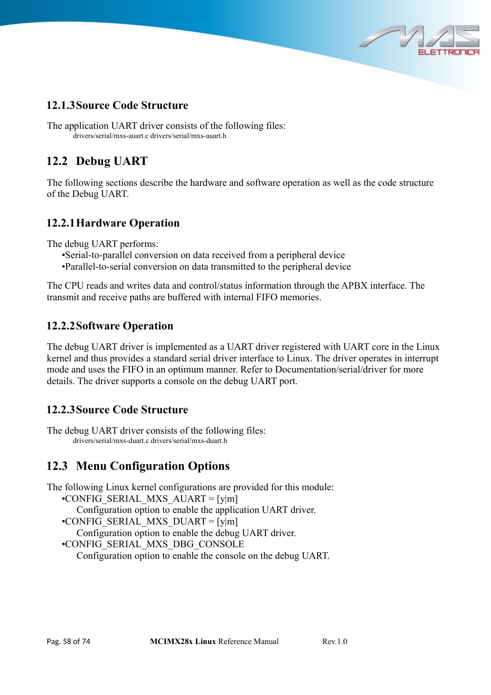

#### **12.1.3Source Code Structure**

The application UART driver consists of the following files: drivers/serial/mxs-auart.c drivers/serial/mxs-auart.h

### **12.2 Debug UART**

The following sections describe the hardware and software operation as well as the code structure of the Debug UART.

#### **12.2.1Hardware Operation**

The debug UART performs:

- •Serial-to-parallel conversion on data received from a peripheral device
- •Parallel-to-serial conversion on data transmitted to the peripheral device

The CPU reads and writes data and control/status information through the APBX interface. The transmit and receive paths are buffered with internal FIFO memories.

#### **12.2.2Software Operation**

The debug UART driver is implemented as a UART driver registered with UART core in the Linux kernel and thus provides a standard serial driver interface to Linux. The driver operates in interrupt mode and uses the FIFO in an optimum manner. Refer to Documentation/serial/driver for more details. The driver supports a console on the debug UART port.

#### **12.2.3Source Code Structure**

The debug UART driver consists of the following files: drivers/serial/mxs-duart.c drivers/serial/mxs-duart.h

#### **12.3 Menu Configuration Options**

The following Linux kernel configurations are provided for this module: •CONFIG SERIAL MXS AUART =  $[y|m]$ Configuration option to enable the application UART driver. •CONFIG SERIAL MXS DUART =  $[v|m]$ Configuration option to enable the debug UART driver. •CONFIG\_SERIAL\_MXS\_DBG\_CONSOLE Configuration option to enable the console on the debug UART.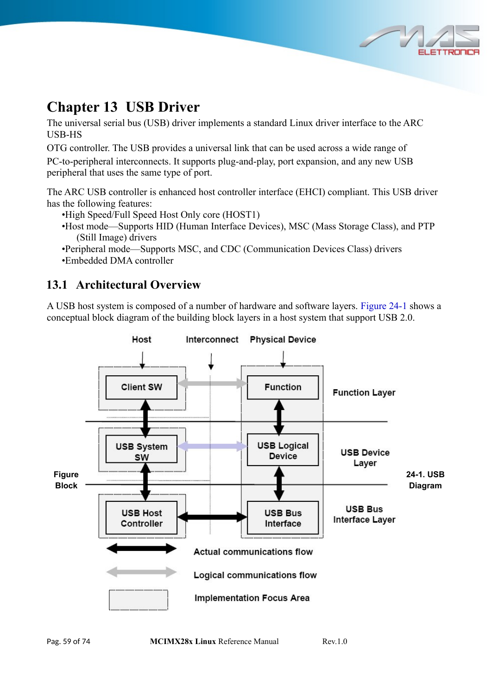

# **Chapter 13 USB Driver**

The universal serial bus (USB) driver implements a standard Linux driver interface to the ARC USB-HS

OTG controller. The USB provides a universal link that can be used across a wide range of PC-to-peripheral interconnects. It supports plug-and-play, port expansion, and any new USB peripheral that uses the same type of port.

The ARC USB controller is enhanced host controller interface (EHCI) compliant. This USB driver has the following features:

•High Speed/Full Speed Host Only core (HOST1)

•Host mode—Supports HID (Human Interface Devices), MSC (Mass Storage Class), and PTP (Still Image) drivers

•Peripheral mode—Supports MSC, and CDC (Communication Devices Class) drivers •Embedded DMA controller

### **13.1 Architectural Overview**

A USB host system is composed of a number of hardware and software layers. Figure 24-1 shows a conceptual block diagram of the building block layers in a host system that support USB 2.0.

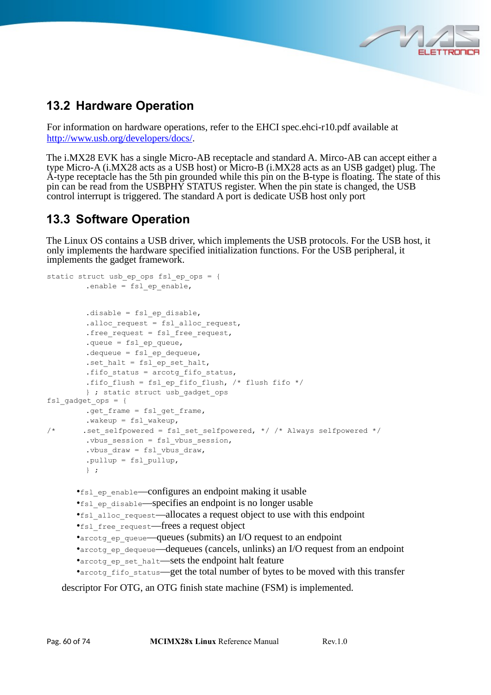

# **13.2 Hardware Operation**

For information on hardware operations, refer to the EHCI spec.ehci-r10.pdf available at [http://www.usb.org/developers/docs/.](http://www.usb.org/developers/docs/)

The i.MX28 EVK has a single Micro-AB receptacle and standard A. Mirco-AB can accept either a type Micro-A (i.MX28 acts as a USB host) or Micro-B (i.MX28 acts as an USB gadget) plug. The A-type receptacle has the 5th pin grounded while this pin on the B-type is floating. The state of this pin can be read from the USBPHY STATUS register. When the pin state is changed, the USB control interrupt is triggered. The standard A port is dedicate USB host only port

## **13.3 Software Operation**

The Linux OS contains a USB driver, which implements the USB protocols. For the USB host, it only implements the hardware specified initialization functions. For the USB peripheral, it implements the gadget framework.

```
static struct usb ep ops fsl ep ops = {
        .enable = fsl ep enable,
        .disable = fsl ep disable,
        .alloc request = fsl alloc request,
        .free request = fsl free request,
        .queue = fsl_ep_queue,
        .dequeue = fsl_ep_dequeue,
        .set halt = fsl ep set halt,
        .fifo status = arcotg fifo status,
        .fifo flush = fsl ep fifo flush, /* flush fifo */
        } ; static struct usb_gadget_ops 
fsl gadget ops = {.get frame = fsl get frame,
        .wakeup = fsl_wakeup,
/* .set selfpowered = fsl set selfpowered, */ /* Always selfpowered */
        -vbus session = fsl vbus session,
        .vbus draw = fsl vbus draw,
        .pullup = fs1 pullup,
        } ;
      •fsl ep enable—configures an endpoint making it usable
```

```
•fsl ep_disable—specifies an endpoint is no longer usable
•fsl_alloc_request—allocates a request object to use with this endpoint
•fsl free request—frees a request object
•arcotg ep queue—queues (submits) an I/O request to an endpoint
•arcotg ep dequeue—dequeues (cancels, unlinks) an I/O request from an endpoint
•arcotg ep_set_halt—sets the endpoint halt feature
•arcotg fifo status—get the total number of bytes to be moved with this transfer
```
descriptor For OTG, an OTG finish state machine (FSM) is implemented.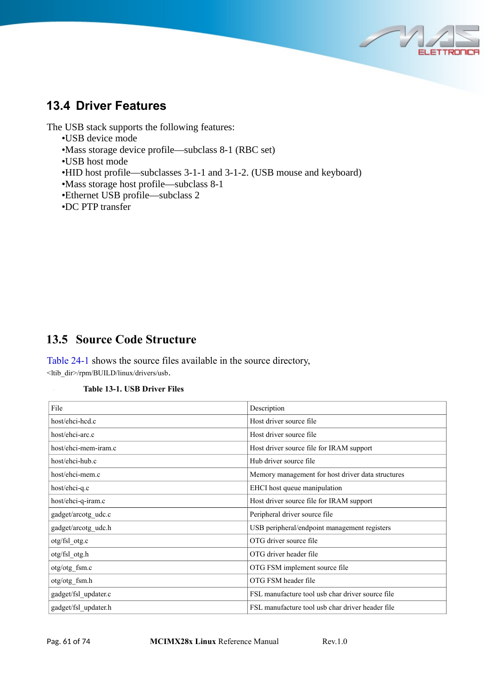

### **13.4 Driver Features**

The USB stack supports the following features:

- •USB device mode
- •Mass storage device profile—subclass 8-1 (RBC set)
- •USB host mode
- •HID host profile—subclasses 3-1-1 and 3-1-2. (USB mouse and keyboard)
- •Mass storage host profile—subclass 8-1
- •Ethernet USB profile—subclass 2
- •DC PTP transfer

#### **13.5 Source Code Structure**

Table 24-1 shows the source files available in the source directory, <ltib\_dir>/rpm/BUILD/linux/drivers/usb.

#### / **Table 13-1. USB Driver Files**

| File                 | Description                                       |
|----------------------|---------------------------------------------------|
| host/ehci-hcd.c      | Host driver source file                           |
| host/ehci-arc.c      | Host driver source file                           |
| host/ehci-mem-iram.c | Host driver source file for IRAM support          |
| host/ehci-hub.c      | Hub driver source file                            |
| host/ehci-mem.c      | Memory management for host driver data structures |
| host/ehci-q.c        | EHCI host queue manipulation                      |
| host/ehci-q-iram.c   | Host driver source file for IRAM support          |
| gadget/arcotg udc.c  | Peripheral driver source file                     |
| gadget/arcotg udc.h  | USB peripheral/endpoint management registers      |
| otg/fsl_otg.c        | OTG driver source file                            |
| otg/fsl_otg.h        | OTG driver header file                            |
| otg/otg fsm.c        | OTG FSM implement source file                     |
| otg/otg fsm.h        | OTG FSM header file                               |
| gadget/fsl_updater.c | FSL manufacture tool usb char driver source file  |
| gadget/fsl updater.h | FSL manufacture tool usb char driver header file  |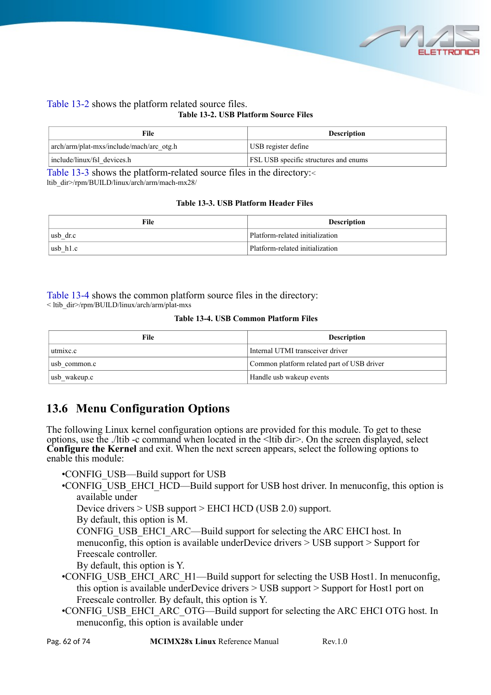

#### Table 13-2 shows the platform related source files. **Table 13-2. USB Platform Source Files**

| File                                     | <b>Description</b>                           |
|------------------------------------------|----------------------------------------------|
| arch/arm/plat-mxs/include/mach/arc otg.h | USB register define                          |
| include/linux/fsl devices.h              | <b>FSL USB</b> specific structures and enums |

Table 13-3 shows the platform-related source files in the directory:< ltib\_dir>/rpm/BUILD/linux/arch/arm/mach-mx28/

#### **Table 13-3. USB Platform Header Files**

| File             | <b>Description</b>              |
|------------------|---------------------------------|
| usb dr.c         | Platform-related initialization |
| $\vert$ usb h1.c | Platform-related initialization |

Table 13-4 shows the common platform source files in the directory: < ltib\_dir>/rpm/BUILD/linux/arch/arm/plat-mxs

#### **Table 13-4. USB Common Platform Files**

| File         | <b>Description</b>                         |
|--------------|--------------------------------------------|
| utmixc.c     | Internal UTMI transceiver driver           |
| usb common.c | Common platform related part of USB driver |
| usb wakeup.c | Handle usb wakeup events                   |

#### **13.6 Menu Configuration Options**

The following Linux kernel configuration options are provided for this module. To get to these options, use the ./ltib -c command when located in the <ltib dir>. On the screen displayed, select **Configure the Kernel** and exit. When the next screen appears, select the following options to enable this module:

•CONFIG USB—Build support for USB

•CONFIG USB EHCI HCD—Build support for USB host driver. In menuconfig, this option is available under

Device drivers > USB support > EHCI HCD (USB 2.0) support.

By default, this option is M.

CONFIG\_USB\_EHCI\_ARC—Build support for selecting the ARC EHCI host. In menuconfig, this option is available underDevice drivers > USB support > Support for Freescale controller.

By default, this option is Y.

- •CONFIG USB EHCI ARC H1—Build support for selecting the USB Host1. In menuconfig, this option is available underDevice drivers > USB support > Support for Host1 port on Freescale controller. By default, this option is Y.
- •CONFIG USB EHCI ARC OTG—Build support for selecting the ARC EHCI OTG host. In menuconfig, this option is available under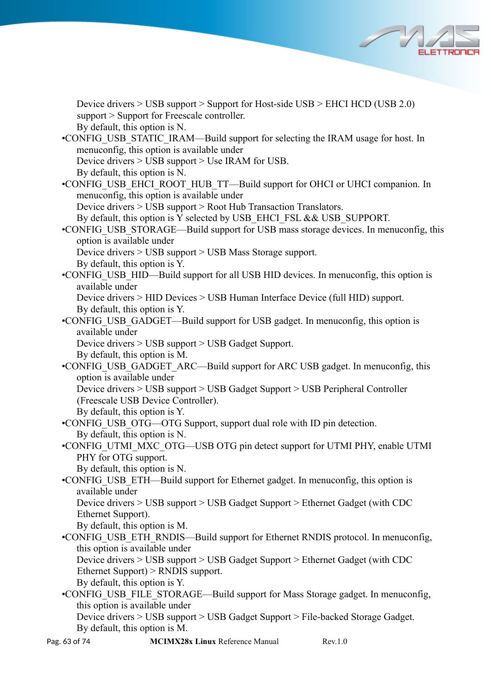

Device drivers > USB support > Support for Host-side USB > EHCI HCD (USB 2.0) support > Support for Freescale controller. By default, this option is N.

- •CONFIG\_USB\_STATIC\_IRAM—Build support for selecting the IRAM usage for host. In menuconfig, this option is available under Device drivers > USB support > Use IRAM for USB. By default, this option is N.
- •CONFIG\_USB\_EHCI\_ROOT\_HUB\_TT—Build support for OHCI or UHCI companion. In menuconfig, this option is available under Device drivers > USB support > Root Hub Transaction Translators. By default, this option is Y selected by USB\_EHCI\_FSL && USB\_SUPPORT.
- •CONFIG USB STORAGE—Build support for USB mass storage devices. In menuconfig, this option is available under Device drivers > USB support > USB Mass Storage support.

By default, this option is Y.

•CONFIG USB HID—Build support for all USB HID devices. In menuconfig, this option is available under

Device drivers > HID Devices > USB Human Interface Device (full HID) support. By default, this option is Y.

•CONFIG USB GADGET—Build support for USB gadget. In menuconfig, this option is available under

Device drivers > USB support > USB Gadget Support.

- By default, this option is M.
- •CONFIG\_USB\_GADGET\_ARC—Build support for ARC USB gadget. In menuconfig, this option is available under
	- Device drivers > USB support > USB Gadget Support > USB Peripheral Controller (Freescale USB Device Controller).

By default, this option is Y.

- •CONFIG USB OTG—OTG Support, support dual role with ID pin detection. By default, this option is N.
- •CONFIG\_UTMI\_MXC\_OTG—USB OTG pin detect support for UTMI PHY, enable UTMI PHY for OTG support.

By default, this option is N.

•CONFIG USB ETH—Build support for Ethernet gadget. In menuconfig, this option is available under

Device drivers > USB support > USB Gadget Support > Ethernet Gadget (with CDC Ethernet Support).

By default, this option is M.

•CONFIG\_USB\_ETH\_RNDIS—Build support for Ethernet RNDIS protocol. In menuconfig, this option is available under

Device drivers > USB support > USB Gadget Support > Ethernet Gadget (with CDC Ethernet Support) > RNDIS support.

- By default, this option is Y.
- •CONFIG\_USB\_FILE\_STORAGE—Build support for Mass Storage gadget. In menuconfig, this option is available under

Device drivers > USB support > USB Gadget Support > File-backed Storage Gadget. By default, this option is M.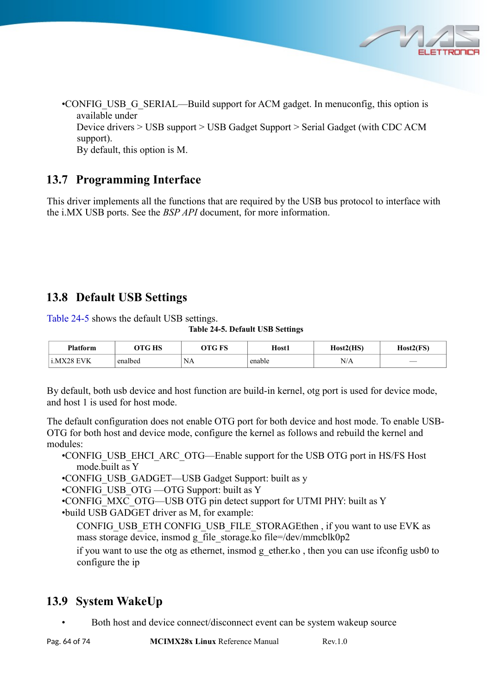

•CONFIG USB G SERIAL—Build support for ACM gadget. In menuconfig, this option is available under Device drivers > USB support > USB Gadget Support > Serial Gadget (with CDC ACM support). By default, this option is M.

#### **13.7 Programming Interface**

This driver implements all the functions that are required by the USB bus protocol to interface with the i.MX USB ports. See the *BSP API* document, for more information.

### **13.8 Default USB Settings**

Table 24-5 shows the default USB settings.

**Table 24-5. Default USB Settings**

| <b>Platform</b> | OTG HS  | лтс бе    | Host1  | Host2(HS) | Host2(FS)                |
|-----------------|---------|-----------|--------|-----------|--------------------------|
| EVK<br>i.MX28   | enalbed | <b>NA</b> | enable | N/A       | $\overline{\phantom{a}}$ |

By default, both usb device and host function are build-in kernel, otg port is used for device mode, and host 1 is used for host mode.

The default configuration does not enable OTG port for both device and host mode. To enable USB-OTG for both host and device mode, configure the kernel as follows and rebuild the kernel and modules:

•CONFIG\_USB\_EHCI\_ARC\_OTG—Enable support for the USB OTG port in HS/FS Host mode.built as Y

•CONFIG\_USB\_GADGET—USB Gadget Support: built as y

•CONFIG\_USB\_OTG —OTG Support: built as Y

•CONFIG\_MXC\_OTG—USB OTG pin detect support for UTMI PHY: built as Y •build USB GADGET driver as M, for example:

CONFIG\_USB\_ETH CONFIG\_USB\_FILE\_STORAGEthen, if you want to use EVK as mass storage device, insmod g\_file\_storage.ko file=/dev/mmcblk0p2

if you want to use the otg as ethernet, insmod g\_ether.ko, then you can use if config usb0 to configure the ip

## **13.9 System WakeUp**

• Both host and device connect/disconnect event can be system wakeup source

Pag. 64 of 74 **MCIMX28x Linux** Reference Manual Rev.1.0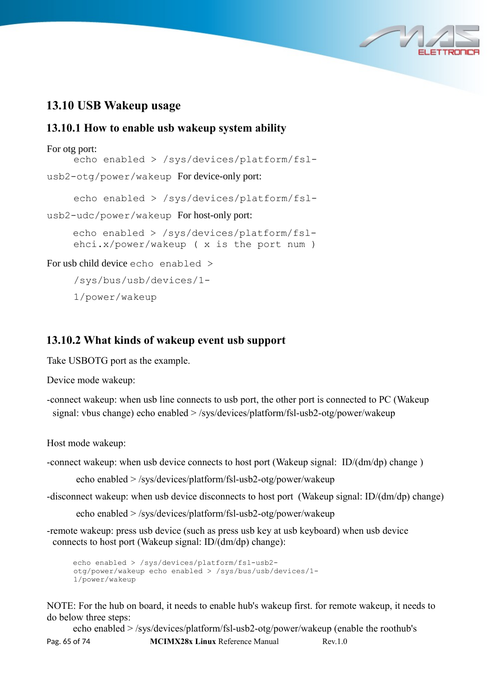#### **13.10 USB Wakeup usage**

#### **13.10.1 How to enable usb wakeup system ability**

#### For otg port:

echo enabled > /sys/devices/platform/fslusb2-otg/power/wakeup For device-only port:

echo enabled > /sys/devices/platform/fsl-

usb2-udc/power/wakeup For host-only port:

echo enabled > /sys/devices/platform/fslehci.x/power/wakeup ( x is the port num )

For usb child device echo enabled >

/sys/bus/usb/devices/1- 1/power/wakeup

#### **13.10.2 What kinds of wakeup event usb support**

Take USBOTG port as the example.

Device mode wakeup:

-connect wakeup: when usb line connects to usb port, the other port is connected to PC (Wakeup signal: vbus change) echo enabled > /sys/devices/platform/fsl-usb2-otg/power/wakeup

Host mode wakeup:

-connect wakeup: when usb device connects to host port (Wakeup signal: ID/(dm/dp) change )

echo enabled > /sys/devices/platform/fsl-usb2-otg/power/wakeup

-disconnect wakeup: when usb device disconnects to host port (Wakeup signal: ID/(dm/dp) change)

echo enabled > /sys/devices/platform/fsl-usb2-otg/power/wakeup

-remote wakeup: press usb device (such as press usb key at usb keyboard) when usb device connects to host port (Wakeup signal: ID/(dm/dp) change):

```
echo enabled > /sys/devices/platform/fsl-usb2-
otg/power/wakeup echo enabled > /sys/bus/usb/devices/1-
1/power/wakeup
```
NOTE: For the hub on board, it needs to enable hub's wakeup first. for remote wakeup, it needs to do below three steps:

echo enabled > /sys/devices/platform/fsl-usb2-otg/power/wakeup (enable the roothub's Pag. 65 of 74 **MCIMX28x Linux** Reference Manual Rev.1.0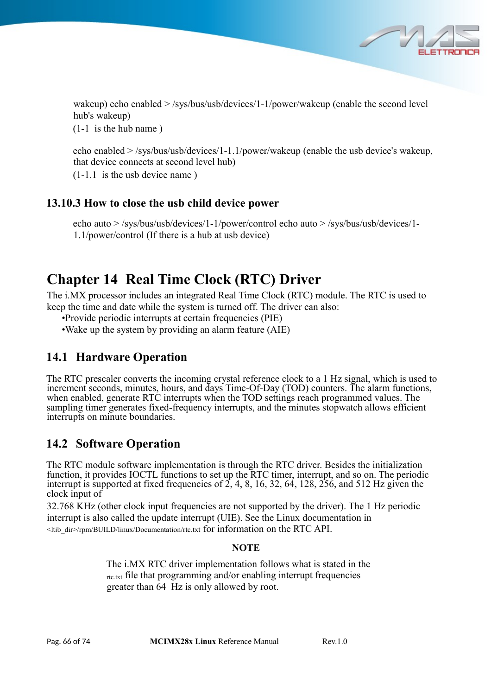

wakeup) echo enabled > /sys/bus/usb/devices/1-1/power/wakeup (enable the second level hub's wakeup)

(1-1 is the hub name )

echo enabled > /sys/bus/usb/devices/1-1.1/power/wakeup (enable the usb device's wakeup, that device connects at second level hub)

(1-1.1 is the usb device name )

#### **13.10.3 How to close the usb child device power**

echo auto > /sys/bus/usb/devices/1-1/power/control echo auto > /sys/bus/usb/devices/1- 1.1/power/control (If there is a hub at usb device)

# **Chapter 14 Real Time Clock (RTC) Driver**

The i.MX processor includes an integrated Real Time Clock (RTC) module. The RTC is used to keep the time and date while the system is turned off. The driver can also:

•Provide periodic interrupts at certain frequencies (PIE)

•Wake up the system by providing an alarm feature (AIE)

#### **14.1 Hardware Operation**

The RTC prescaler converts the incoming crystal reference clock to a 1 Hz signal, which is used to increment seconds, minutes, hours, and days Time-Of-Day (TOD) counters. The alarm functions, when enabled, generate RTC interrupts when the TOD settings reach programmed values. The sampling timer generates fixed-frequency interrupts, and the minutes stopwatch allows efficient interrupts on minute boundaries.

#### **14.2 Software Operation**

The RTC module software implementation is through the RTC driver. Besides the initialization function, it provides IOCTL functions to set up the RTC timer, interrupt, and so on. The periodic interrupt is supported at fixed frequencies of  $2, 4, 8, 16, 32, 64, 128, 256$ , and  $512$  Hz given the clock input of

32.768 KHz (other clock input frequencies are not supported by the driver). The 1 Hz periodic interrupt is also called the update interrupt (UIE). See the Linux documentation in <ltib\_dir>/rpm/BUILD/linux/Documentation/rtc.txt for information on the RTC API.

#### **NOTE**

The i.MX RTC driver implementation follows what is stated in the rtc.txt file that programming and/or enabling interrupt frequencies greater than 64 Hz is only allowed by root.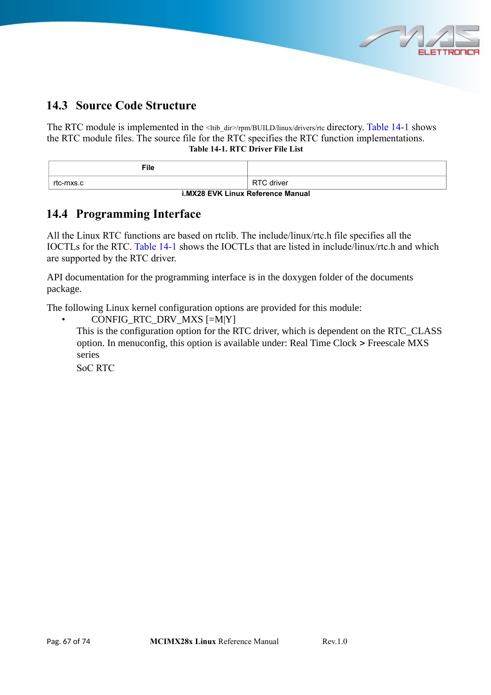

#### **14.3 Source Code Structure**

The RTC module is implemented in the <ltib\_dir>/rpm/BUILD/linux/drivers/rtc directory. Table 14-1 shows the RTC module files. The source file for the RTC specifies the RTC function implementations. **Table 14-1. RTC Driver File List**

| <b>File</b> |                   |
|-------------|-------------------|
| rtc-mxs.c   | <b>RTC</b> driver |

**i.MX28 EVK Linux Reference Manual**

#### **14.4 Programming Interface**

All the Linux RTC functions are based on rtclib. The include/linux/rtc.h file specifies all the IOCTLs for the RTC. Table 14-1 shows the IOCTLs that are listed in include/linux/rtc.h and which are supported by the RTC driver.

API documentation for the programming interface is in the doxygen folder of the documents package.

The following Linux kernel configuration options are provided for this module:

• CONFIG\_RTC\_DRV\_MXS [=M|Y] This is the configuration option for the RTC driver, which is dependent on the RTC\_CLASS option. In menuconfig, this option is available under: Real Time Clock > Freescale MXS series

SoC RTC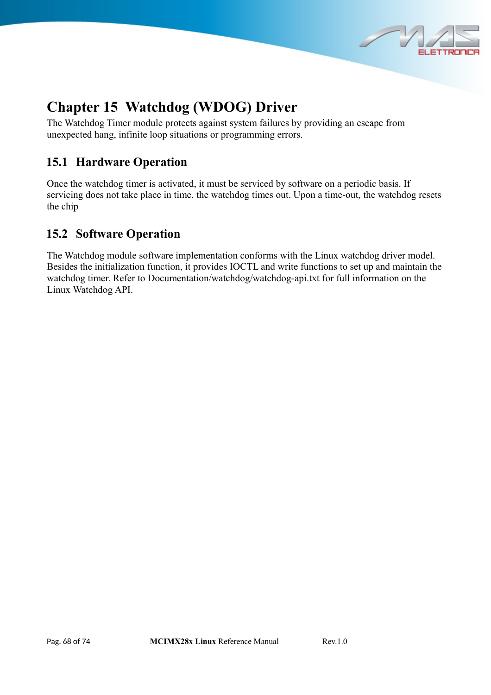

# **Chapter 15 Watchdog (WDOG) Driver**

The Watchdog Timer module protects against system failures by providing an escape from unexpected hang, infinite loop situations or programming errors.

#### **15.1 Hardware Operation**

Once the watchdog timer is activated, it must be serviced by software on a periodic basis. If servicing does not take place in time, the watchdog times out. Upon a time-out, the watchdog resets the chip

#### **15.2 Software Operation**

The Watchdog module software implementation conforms with the Linux watchdog driver model. Besides the initialization function, it provides IOCTL and write functions to set up and maintain the watchdog timer. Refer to Documentation/watchdog/watchdog-api.txt for full information on the Linux Watchdog API.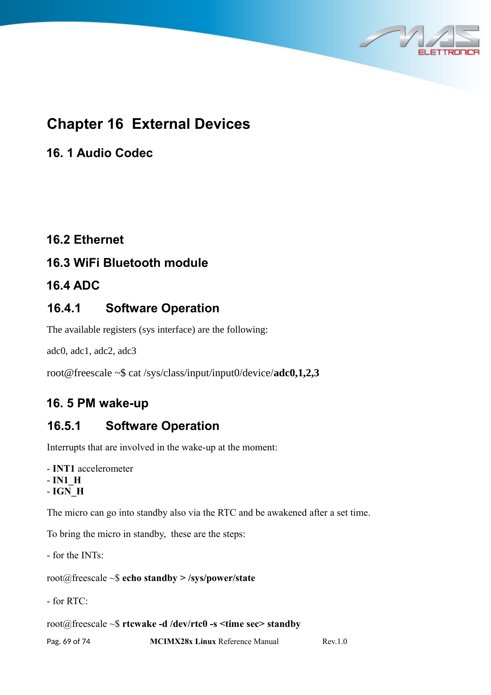# **Chapter 16 External Devices**

### **16. 1 Audio Codec**

#### **16.2 Ethernet**

#### **16.3 WiFi Bluetooth module**

#### **16.4 ADC**

#### **16.4.1 Software Operation**

The available registers (sys interface) are the following:

adc0, adc1, adc2, adc3

```
root@freescale ~$ cat /sys/class/input/input0/device/adc0,1,2,3
```
### **16. 5 PM wake-up**

#### **16.5.1 Software Operation**

Interrupts that are involved in the wake-up at the moment:

```
- INT1 accelerometer
- IN1_H
- IGN_H
```
The micro can go into standby also via the RTC and be awakened after a set time.

To bring the micro in standby, these are the steps:

- for the INTs:

root@freescale ~\$ **echo standby > /sys/power/state**

- for RTC:

root@freescale ~\$ **rtcwake -d /dev/rtc0 -s <time sec> standby**

Pag. 69 of 74 **MCIMX28x Linux** Reference Manual Rev.1.0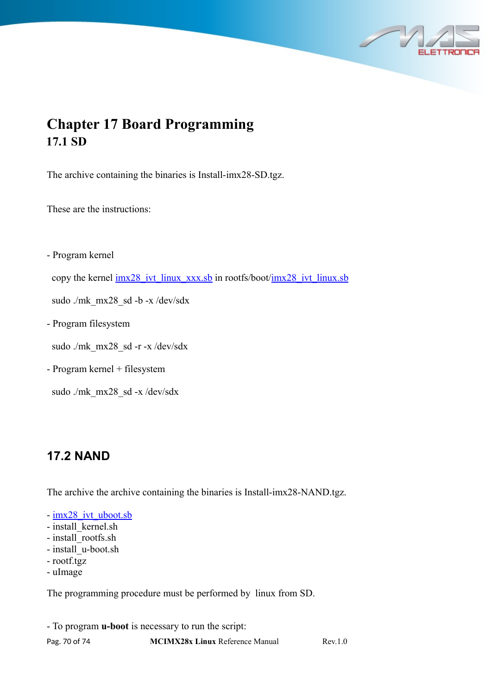

# **Chapter 17 Board Programming 17.1 SD**

The archive containing the binaries is Install-imx28-SD.tgz.

These are the instructions:

- Program kernel

copy the kernel imx28 ivt linux xxx.sb in rootfs/boot/imx28 ivt linux.sb

sudo ./mk\_mx28\_sd -b -x /dev/sdx

- Program filesystem
- sudo ./mk\_mx28\_sd -r -x /dev/sdx
- Program kernel + filesystem

sudo ./mk\_mx28\_sd -x /dev/sdx

## **17.2 NAND**

The archive the archive containing the binaries is Install-imx28-NAND.tgz.

- imx28 ivt uboot.sb
- install kernel.sh
- install\_rootfs.sh
- install\_u-boot.sh
- rootf.tgz
- uImage

The programming procedure must be performed by linux from SD.

- To program **u-boot** is necessary to run the script:

Pag. 70 of 74 **MCIMX28x Linux** Reference Manual Rev.1.0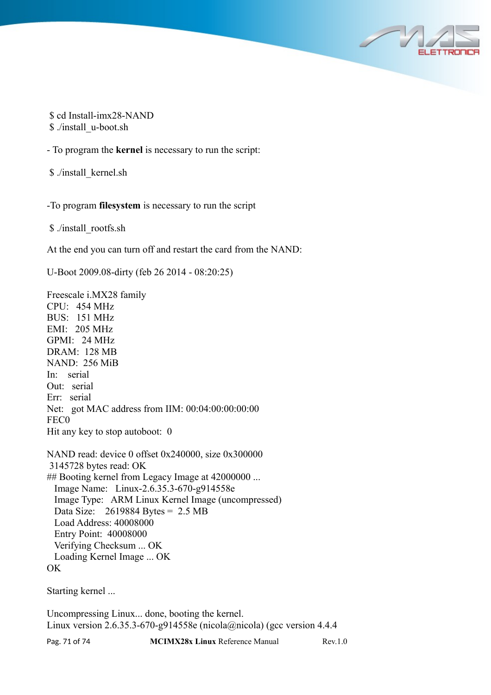

\$ cd Install-imx28-NAND \$ ./install\_u-boot.sh

- To program the **kernel** is necessary to run the script:

\$ ./install\_kernel.sh

-To program **filesystem** is necessary to run the script

\$ ./install\_rootfs.sh

At the end you can turn off and restart the card from the NAND:

U-Boot 2009.08-dirty (feb 26 2014 - 08:20:25)

Freescale i.MX28 family CPU: 454 MHz BUS: 151 MHz EMI: 205 MHz GPMI: 24 MHz DRAM: 128 MB NAND: 256 MiB In: serial Out: serial Err: serial Net: got MAC address from IIM: 00:04:00:00:00:00 FEC0 Hit any key to stop autoboot: 0

NAND read: device 0 offset 0x240000, size 0x300000 3145728 bytes read: OK ## Booting kernel from Legacy Image at 42000000 ... Image Name: Linux-2.6.35.3-670-g914558e Image Type: ARM Linux Kernel Image (uncompressed) Data Size: 2619884 Bytes = 2.5 MB Load Address: 40008000 Entry Point: 40008000 Verifying Checksum ... OK Loading Kernel Image ... OK **OK** 

Starting kernel ...

Uncompressing Linux... done, booting the kernel. Linux version 2.6.35.3-670-g914558e (nicola@nicola) (gcc version 4.4.4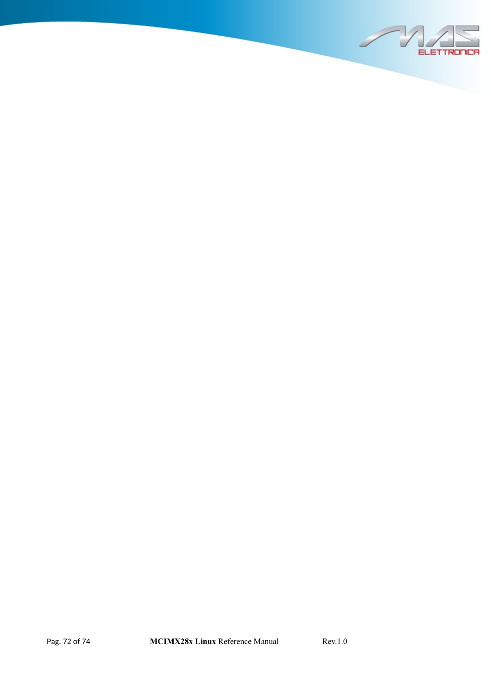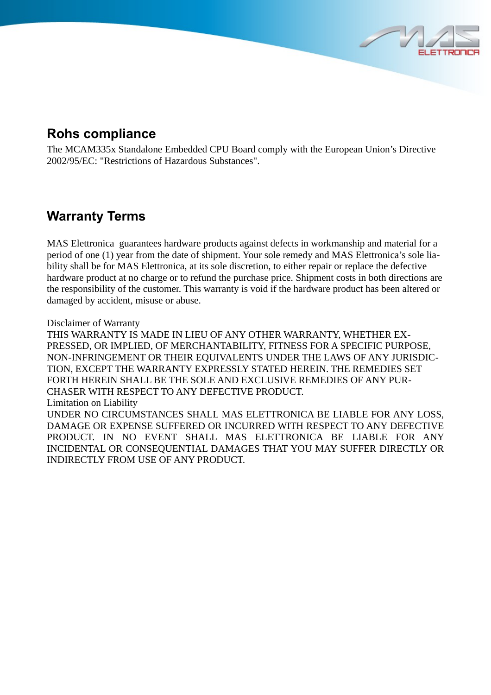## **Rohs compliance**

The MCAM335x Standalone Embedded CPU Board comply with the European Union's Directive 2002/95/EC: "Restrictions of Hazardous Substances".

### **Warranty Terms**

MAS Elettronica guarantees hardware products against defects in workmanship and material for a period of one (1) year from the date of shipment. Your sole remedy and MAS Elettronica's sole liability shall be for MAS Elettronica, at its sole discretion, to either repair or replace the defective hardware product at no charge or to refund the purchase price. Shipment costs in both directions are the responsibility of the customer. This warranty is void if the hardware product has been altered or damaged by accident, misuse or abuse.

#### Disclaimer of Warranty

THIS WARRANTY IS MADE IN LIEU OF ANY OTHER WARRANTY, WHETHER EX-PRESSED, OR IMPLIED, OF MERCHANTABILITY, FITNESS FOR A SPECIFIC PURPOSE, NON-INFRINGEMENT OR THEIR EQUIVALENTS UNDER THE LAWS OF ANY JURISDIC-TION, EXCEPT THE WARRANTY EXPRESSLY STATED HEREIN. THE REMEDIES SET FORTH HEREIN SHALL BE THE SOLE AND EXCLUSIVE REMEDIES OF ANY PUR-CHASER WITH RESPECT TO ANY DEFECTIVE PRODUCT. Limitation on Liability UNDER NO CIRCUMSTANCES SHALL MAS ELETTRONICA BE LIABLE FOR ANY LOSS, DAMAGE OR EXPENSE SUFFERED OR INCURRED WITH RESPECT TO ANY DEFECTIVE PRODUCT. IN NO EVENT SHALL MAS ELETTRONICA BE LIABLE FOR ANY INCIDENTAL OR CONSEQUENTIAL DAMAGES THAT YOU MAY SUFFER DIRECTLY OR INDIRECTLY FROM USE OF ANY PRODUCT.